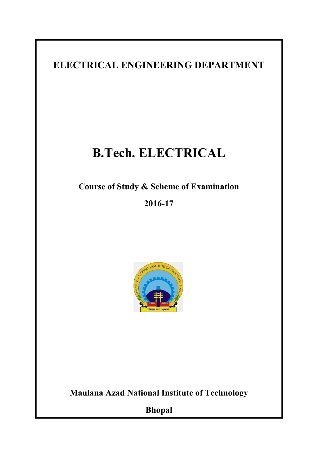ELECTRICAL ENGINEERING DEPARTMENT

# B.Tech. ELECTRICAL

Course of Study & Scheme of Examination

2016-17



Maulana Azad National Institute of Technology

Bhopal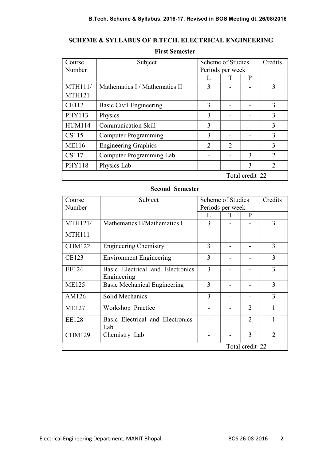# SCHEME & SYLLABUS OF B.TECH. ELECTRICAL ENGINEERING

## First Semester

| Course         | Subject                        | Scheme of Studies |               | Credits         |                |
|----------------|--------------------------------|-------------------|---------------|-----------------|----------------|
| Number         |                                | Periods per week  |               |                 |                |
|                |                                |                   |               | P               |                |
| <b>MTH111/</b> | Mathematics I / Mathematics II | 3                 |               |                 | 3              |
| <b>MTH121</b>  |                                |                   |               |                 |                |
| <b>CE112</b>   | Basic Civil Engineering        | 3                 |               |                 | 3              |
| PHY113         | Physics                        | 3                 |               |                 | 3              |
| <b>HUM114</b>  | <b>Communication Skill</b>     | 3                 |               |                 | 3              |
| CS115          | <b>Computer Programming</b>    | 3                 |               |                 | 3              |
| <b>ME116</b>   | <b>Engineering Graphics</b>    | $\overline{2}$    | $\mathcal{D}$ |                 | 3              |
| CS117          | Computer Programming Lab       |                   |               | 3               | $\overline{2}$ |
| <b>PHY118</b>  | Physics Lab                    |                   |               | 3               | $\overline{2}$ |
|                |                                |                   |               | Total credit 22 |                |

#### Second Semester

| Course          | Subject                             | Scheme of Studies |   | Credits                     |                |
|-----------------|-------------------------------------|-------------------|---|-----------------------------|----------------|
| Number          |                                     | Periods per week  |   |                             |                |
|                 |                                     |                   | T | P                           |                |
| <b>MTH121/</b>  | Mathematics II/Mathematics I        | 3                 |   |                             | 3              |
| <b>MTH111</b>   |                                     |                   |   |                             |                |
| <b>CHM122</b>   | <b>Engineering Chemistry</b>        | 3                 |   |                             | 3              |
| <b>CE123</b>    | <b>Environment Engineering</b>      | 3                 |   |                             | 3              |
| EE124           | Basic Electrical and Electronics    | 3                 |   |                             | 3              |
|                 | Engineering                         |                   |   |                             |                |
| <b>ME125</b>    | <b>Basic Mechanical Engineering</b> | 3                 |   |                             | 3              |
| AM126           | Solid Mechanics                     | 3                 |   |                             | 3              |
| <b>ME127</b>    | Workshop Practice                   |                   |   | $\mathcal{D}_{\mathcal{L}}$ |                |
| <b>EE128</b>    | Basic Electrical and Electronics    |                   |   | $\mathcal{D}$               |                |
|                 | Lab                                 |                   |   |                             |                |
| <b>CHM129</b>   | Chemistry Lab                       |                   |   | 3                           | $\overline{2}$ |
| Total credit 22 |                                     |                   |   |                             |                |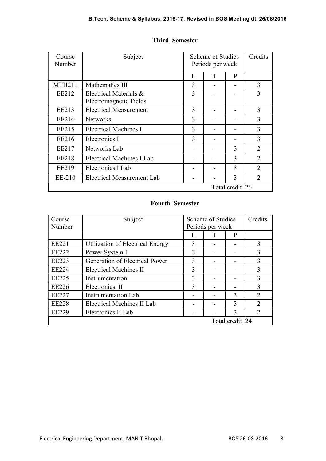| Course<br>Number | Subject                                          | Scheme of Studies<br>Periods per week |   | Credits |                |
|------------------|--------------------------------------------------|---------------------------------------|---|---------|----------------|
|                  |                                                  | L                                     | T | P       |                |
| <b>MTH211</b>    | Mathematics III                                  | 3                                     |   |         | 3              |
| EE212            | Electrical Materials &<br>Electromagnetic Fields | 3                                     |   |         | 3              |
| EE213            | <b>Electrical Measurement</b>                    | 3                                     |   |         | 3              |
| EE214            | <b>Networks</b>                                  | 3                                     |   |         | 3              |
| EE215            | <b>Electrical Machines I</b>                     | 3                                     |   |         | 3              |
| EE216            | Electronics I                                    | 3                                     |   |         | 3              |
| EE217            | Networks Lab                                     |                                       |   | 3       | $\overline{2}$ |
| EE218            | Electrical Machines I Lab                        |                                       |   | 3       | $\overline{2}$ |
| EE219            | Electronics I Lab                                |                                       |   | 3       | $\overline{2}$ |
| EE-210           | <b>Electrical Measurement Lab</b>                |                                       |   | 3       | $\overline{2}$ |
| Total credit 26  |                                                  |                                       |   |         |                |

#### Third Semester

# Fourth Semester

| Course<br>Number | Subject                           | Scheme of Studies<br>Periods per week |  | Credits         |                |
|------------------|-----------------------------------|---------------------------------------|--|-----------------|----------------|
|                  |                                   | L                                     |  | P               |                |
| <b>EE221</b>     | Utilization of Electrical Energy  | 3                                     |  |                 | 3              |
| <b>EE222</b>     | Power System I                    | 3                                     |  |                 | 3              |
| <b>EE223</b>     | Generation of Electrical Power    | 3                                     |  |                 | 3              |
| <b>EE224</b>     | <b>Electrical Machines II</b>     | 3                                     |  |                 | 3              |
| <b>EE225</b>     | Instrumentation                   | 3                                     |  |                 | 3              |
| <b>EE226</b>     | Electronics II                    | 3                                     |  |                 | 3              |
| <b>EE227</b>     | <b>Instrumentation Lab</b>        |                                       |  | 3               | $\overline{2}$ |
| <b>EE228</b>     | <b>Electrical Machines II Lab</b> |                                       |  | 3               | $\overline{2}$ |
| <b>EE229</b>     | Electronics II Lab                |                                       |  | 3               | 2              |
|                  |                                   |                                       |  | Total credit 24 |                |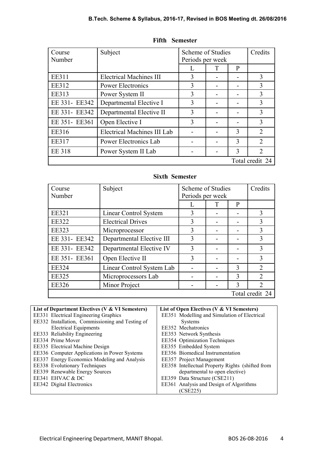| Course<br>Number | Subject                        | Scheme of Studies<br>Periods per week |   |   | Credits         |
|------------------|--------------------------------|---------------------------------------|---|---|-----------------|
|                  |                                |                                       | Т | P |                 |
| <b>EE311</b>     | <b>Electrical Machines III</b> | 3                                     |   |   | 3               |
| <b>EE312</b>     | <b>Power Electronics</b>       | $\mathbf{3}$                          |   |   | 3               |
| <b>EE313</b>     | Power System II                | 3                                     |   |   | 3               |
| EE 331- EE342    | Departmental Elective I        | 3                                     |   |   | 3               |
| EE 331- EE342    | Departmental Elective II       | 3                                     |   |   | 3               |
| EE 351- EE361    | Open Elective I                | 3                                     |   |   | 3               |
| EE316            | Electrical Machines III Lab    |                                       |   | 3 | $\overline{2}$  |
| <b>EE317</b>     | Power Electronics Lab          |                                       |   | 3 | $\overline{2}$  |
| <b>EE 318</b>    | Power System II Lab            |                                       |   | 3 | $\overline{2}$  |
|                  |                                |                                       |   |   | Total credit 24 |

## Fifth Semester

#### Sixth Semester

| Course<br>Number | Subject                   | Scheme of Studies<br>Periods per week |   |              | Credits         |
|------------------|---------------------------|---------------------------------------|---|--------------|-----------------|
|                  |                           |                                       | Т | P            |                 |
| <b>EE321</b>     | Linear Control System     |                                       |   |              | 3               |
| <b>EE322</b>     | <b>Electrical Drives</b>  | 3                                     |   |              | 3               |
| <b>EE323</b>     | Microprocessor            | 3                                     |   |              | 3               |
| EE 331- EE342    | Departmental Elective III | 3                                     |   |              | 3               |
| EE 331- EE342    | Departmental Elective IV  | 3                                     |   |              | 3               |
| EE 351- EE361    | Open Elective II          | 3                                     |   |              | 3               |
| <b>EE324</b>     | Linear Control System Lab |                                       |   | 3            | $\overline{2}$  |
| <b>EE325</b>     | Microprocessors Lab       |                                       |   | $\mathbf{3}$ | $\mathcal{D}$   |
| <b>EE326</b>     | Minor Project             |                                       |   | 3            | 2               |
|                  |                           |                                       |   |              | Total credit 24 |

| List of Department Electives (V & VI Semesters)  | List of Open Electives (V & VI Semesters)        |
|--------------------------------------------------|--------------------------------------------------|
| EE331 Electrical Engineering Graphics            | EE351 Modelling and Simulation of Electrical     |
| EE332 Installation, Commissioning and Testing of | Systems                                          |
| <b>Electrical Equipments</b>                     | EE352 Mechatronics                               |
| EE333 Reliability Engineering                    | EE353 Network Synthesis                          |
| EE334 Prime Mover                                | EE354 Optimization Techniques                    |
| EE335 Electrical Machine Design                  | EE355 Embedded System                            |
| EE336 Computer Applications in Power Systems     | EE356 Biomedical Instrumentation                 |
| EE337 Energy Economics Modeling and Analysis     | EE357 Project Management                         |
| EE338 Evolutionary Techniques                    | EE358 Intellectual Property Rights (shifted from |
| EE339 Renewable Energy Sources                   | departmental to open elective)                   |
| EE341 EHVAC & DC                                 | EE359 Data Structure (CSE211)                    |
| EE342 Digital Electronics                        | EE361 Analysis and Design of Algorithms          |
|                                                  | (CSE225)                                         |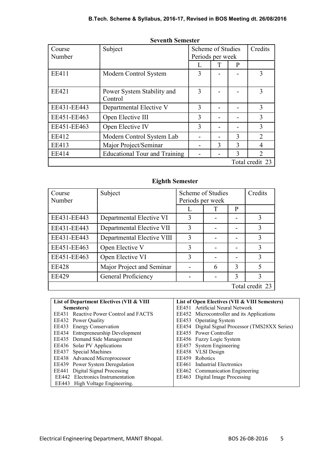| Course<br>Number | Subject                               | Scheme of Studies<br>Periods per week |   |               | Credits         |
|------------------|---------------------------------------|---------------------------------------|---|---------------|-----------------|
|                  |                                       |                                       | T | $\mathbf{P}$  |                 |
| <b>EE411</b>     | Modern Control System                 | 3                                     |   |               | 3               |
| <b>EE421</b>     | Power System Stability and<br>Control | 3                                     |   |               | 3               |
| EE431-EE443      | Departmental Elective V               | 3                                     |   |               | 3               |
| EE451-EE463      | Open Elective III                     | 3                                     |   |               | 3               |
| EE451-EE463      | Open Elective IV                      | 3                                     |   |               | 3               |
| <b>EE412</b>     | Modern Control System Lab             |                                       |   | 3             | $\overline{2}$  |
| <b>EE413</b>     | Major Project/Seminar                 |                                       | 3 | $\mathcal{L}$ | 4               |
| EE414            | <b>Educational Tour and Training</b>  |                                       |   | 3             | $\mathcal{D}$   |
|                  |                                       |                                       |   |               | Total credit 23 |

## Seventh Semester

# Eighth Semester

| Course<br>Number | Subject                    | Scheme of Studies<br>Periods per week |   |   | Credits         |
|------------------|----------------------------|---------------------------------------|---|---|-----------------|
|                  |                            |                                       |   | P |                 |
| EE431-EE443      | Departmental Elective VI   | 3                                     |   |   | 3               |
| EE431-EE443      | Departmental Elective VII  | 3                                     |   |   | 3               |
| EE431-EE443      | Departmental Elective VIII | 3                                     |   |   | $\mathbf{3}$    |
| EE451-EE463      | Open Elective V            | 3                                     |   |   | 3               |
| EE451-EE463      | Open Elective VI           | 3                                     |   |   | 3               |
| <b>EE428</b>     | Major Project and Seminar  |                                       | 6 | 3 | 5               |
| <b>EE429</b>     | General Proficiency        |                                       |   | 3 | 3               |
|                  |                            |                                       |   |   | Total credit 23 |

| List of Department Electives (VII & VIII      | List of Open Electives (VII & VIII Semesters)   |
|-----------------------------------------------|-------------------------------------------------|
| Semesters)                                    | EE451 Artificial Neural Network                 |
| <b>EE431</b> Reactive Power Control and FACTS | EE452 Microcontroller and its Applications      |
| EE432 Power Quality                           | EE453 Operating System                          |
| EE433 Energy Conservation                     | EE454 Digital Signal Processor (TMS28XX Series) |
| EE434 Entrepreneurship Development            | EE455 Power Controller                          |
| EE435 Demand Side Management                  | EE456 Fuzzy Logic System                        |
| EE436 Solar PV Applications                   | EE457 System Engineering                        |
| EE437 Special Machines                        | EE458 VLSI Design                               |
| EE438 Advanced Microprocessor                 | EE459 Robotics                                  |
| EE439 Power System Deregulation               | EE461 Industrial Electronics                    |
| EE441 Digital Signal Processing               | EE462 Communication Engineering                 |
| EE442 Electronics Instrumentation             | EE463 Digital Image Processing                  |
| EE443 High Voltage Engineering.               |                                                 |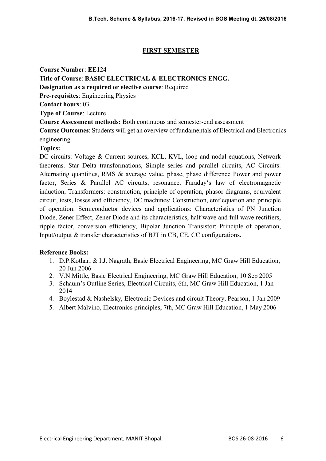# FIRST SEMESTER

Course Number: EE124 Title of Course: BASIC ELECTRICAL & ELECTRONICS ENGG. Designation as a required or elective course: Required Pre-requisites: Engineering Physics Contact hours: 03 Type of Course: Lecture Course Assessment methods: Both continuous and semester-end assessment Course Outcomes: Students will get an overview of fundamentals of Electrical and Electronics engineering. Topics:

DC circuits: Voltage & Current sources, KCL, KVL, loop and nodal equations, Network theorems. Star Delta transformations, Simple series and parallel circuits, AC Circuits: Alternating quantities, RMS & average value, phase, phase difference Power and power factor, Series & Parallel AC circuits, resonance. Faraday's law of electromagnetic induction, Transformers: construction, principle of operation, phasor diagrams, equivalent circuit, tests, losses and efficiency, DC machines: Construction, emf equation and principle of operation. Semiconductor devices and applications: Characteristics of PN Junction Diode, Zener Effect, Zener Diode and its characteristics, half wave and full wave rectifiers, ripple factor, conversion efficiency, Bipolar Junction Transistor: Principle of operation, Input/output & transfer characteristics of BJT in CB, CE, CC configurations.

- 1. D.P.Kothari & I.J. Nagrath, Basic Electrical Engineering, MC Graw Hill Education, 20 Jun 2006
- 2. V.N.Mittle, Basic Electrical Engineering, MC Graw Hill Education, 10 Sep 2005
- 3. Schaum's Outline Series, Electrical Circuits, 6th, MC Graw Hill Education, 1 Jan 2014
- 4. Boylestad & Nashelsky, Electronic Devices and circuit Theory, Pearson, 1 Jan 2009
- 5. Albert Malvino, Electronics principles, 7th, MC Graw Hill Education, 1 May 2006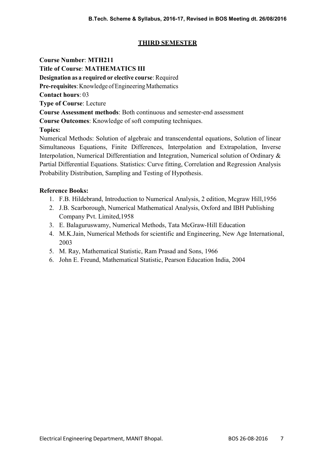# THIRD SEMESTER

Course Number: MTH211

Title of Course: MATHEMATICS III Designation as a required or elective course: Required Pre-requisites: Knowledge of Engineering Mathematics Contact hours: 03 Type of Course: Lecture Course Assessment methods: Both continuous and semester-end assessment Course Outcomes: Knowledge of soft computing techniques. Topics: Numerical Methods: Solution of algebraic and transcendental equations, Solution of linear

Simultaneous Equations, Finite Differences, Interpolation and Extrapolation, Inverse Interpolation, Numerical Differentiation and Integration, Numerical solution of Ordinary & Partial Differential Equations. Statistics: Curve fitting, Correlation and Regression Analysis Probability Distribution, Sampling and Testing of Hypothesis.

- 1. F.B. Hildebrand, Introduction to Numerical Analysis, 2 edition, Mcgraw Hill,1956
- 2. J.B. Scarborough, Numerical Mathematical Analysis, Oxford and IBH Publishing Company Pvt. Limited,1958
- 3. E. Balaguruswamy, Numerical Methods, Tata McGraw-Hill Education
- 4. M.K.Jain, Numerical Methods for scientific and Engineering, New Age International, 2003
- 5. M. Ray, Mathematical Statistic, Ram Prasad and Sons, 1966
- 6. John E. Freund, Mathematical Statistic, Pearson Education India, 2004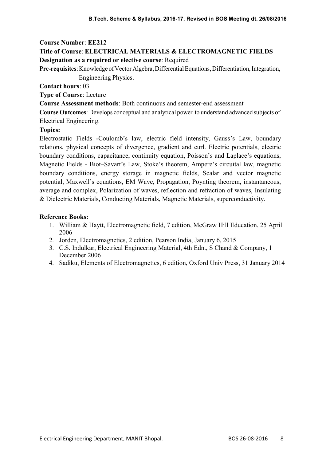# Title of Course: ELECTRICAL MATERIALS & ELECTROMAGNETIC FIELDS Designation as a required or elective course: Required

Pre-requisites: Knowledge of Vector Algebra, Differential Equations, Differentiation, Integration, Engineering Physics.

Contact hours: 03

Type of Course: Lecture

Course Assessment methods: Both continuous and semester-end assessment

Course Outcomes: Develops conceptual and analytical power to understand advanced subjects of Electrical Engineering.

## Topics:

Electrostatic Fields -Coulomb's law, electric field intensity, Gauss's Law, boundary relations, physical concepts of divergence, gradient and curl. Electric potentials, electric boundary conditions, capacitance, continuity equation, Poisson's and Laplace's equations, Magnetic Fields - Biot–Savart's Law, Stoke's theorem, Ampere's circuital law, magnetic boundary conditions, energy storage in magnetic fields, Scalar and vector magnetic potential, Maxwell's equations, EM Wave, Propagation, Poynting theorem, instantaneous, average and complex, Polarization of waves, reflection and refraction of waves, Insulating & Dielectric Materials, Conducting Materials, Magnetic Materials, superconductivity.

- 1. William & Haytt, Electromagnetic field, 7 edition, McGraw Hill Education, 25 April 2006
- 2. Jorden, Electromagnetics, 2 edition, Pearson India, January 6, 2015
- 3. C.S. Indulkar, Electrical Engineering Material, 4th Edn., S Chand & Company, 1 December 2006
- 4. Sadiku, Elements of Electromagnetics, 6 edition, Oxford Univ Press, 31 January 2014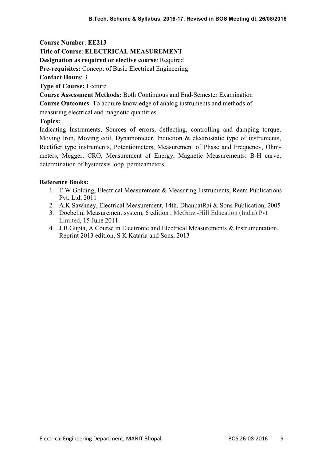## Title of Course: ELECTRICAL MEASUREMENT

Designation as required or elective course: Required

Pre-requisites: Concept of Basic Electrical Engineering

Contact Hours: 3

Type of Course: Lecture

Course Assessment Methods: Both Continuous and End-Semester Examination

Course Outcomes: To acquire knowledge of analog instruments and methods of

measuring electrical and magnetic quantities.

# Topics:

Indicating Instruments, Sources of errors, deflecting, controlling and damping torque, Moving Iron, Moving coil, Dynamometer. Induction & electrostatic type of instruments, Rectifier type instruments, Potentiometers, Measurement of Phase and Frequency, Ohmmeters, Megger, CRO, Measurement of Energy, Magnetic Measurements: B-H curve, determination of hysteresis loop, permeameters.

- 1. E.W.Golding, Electrical Measurement & Measuring Instruments, Reem Publications Pvt. Ltd, 2011
- 2. A.K.Sawhney, Electrical Measurement, 14th, DhanpatRai & Sons Publication, 2005
- 3. Doebelin, Measurement system, 6 edition , McGraw-Hill Education (India) Pvt Limited, 15 June 2011
- 4. J.B.Gupta, A Course in Electronic and Electrical Measurements & Instrumentation, Reprint 2013 edition, S K Kataria and Sons, 2013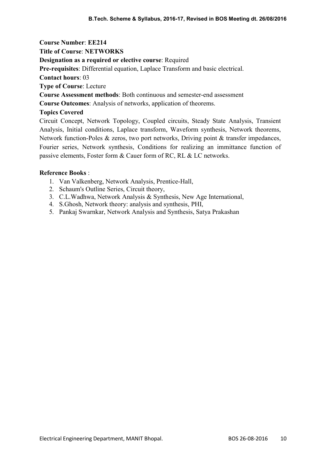Title of Course: NETWORKS

Designation as a required or elective course: Required

Pre-requisites: Differential equation, Laplace Transform and basic electrical.

Contact hours: 03

Type of Course: Lecture

Course Assessment methods: Both continuous and semester-end assessment

Course Outcomes: Analysis of networks, application of theorems.

# Topics Covered

Circuit Concept, Network Topology, Coupled circuits, Steady State Analysis, Transient Analysis, Initial conditions, Laplace transform, Waveform synthesis, Network theorems, Network function-Poles & zeros, two port networks, Driving point & transfer impedances, Fourier series, Network synthesis, Conditions for realizing an immittance function of passive elements, Foster form & Cauer form of RC, RL & LC networks.

- 1. Van Valkenberg, Network Analysis, Prentice-Hall,
- 2. Schaum's Outline Series, Circuit theory,
- 3. C.L.Wadhwa, Network Analysis & Synthesis, New Age International,
- 4. S.Ghosh, Network theory: analysis and synthesis, PHI,
- 5. Pankaj Swarnkar, Network Analysis and Synthesis, Satya Prakashan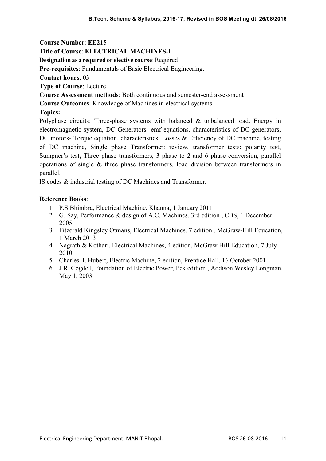### Title of Course: ELECTRICAL MACHINES-I

Designation as a required or elective course: Required

Pre-requisites: Fundamentals of Basic Electrical Engineering.

Contact hours: 03

Type of Course: Lecture

Course Assessment methods: Both continuous and semester-end assessment

Course Outcomes: Knowledge of Machines in electrical systems.

# Topics:

Polyphase circuits: Three-phase systems with balanced & unbalanced load. Energy in electromagnetic system, DC Generators- emf equations, characteristics of DC generators, DC motors- Torque equation, characteristics, Losses & Efficiency of DC machine, testing of DC machine, Single phase Transformer: review, transformer tests: polarity test, Sumpner's test, Three phase transformers, 3 phase to 2 and 6 phase conversion, parallel operations of single & three phase transformers, load division between transformers in parallel.

IS codes & industrial testing of DC Machines and Transformer.

- 1. P.S.Bhimbra, Electrical Machine, Khanna, 1 January 2011
- 2. G. Say, Performance & design of A.C. Machines, 3rd edition , CBS, 1 December 2005
- 3. Fitzerald Kingsley Otmans, Electrical Machines, 7 edition , McGraw-Hill Education, 1 March 2013
- 4. Nagrath & Kothari, Electrical Machines, 4 edition, McGraw Hill Education, 7 July 2010
- 5. Charles. I. Hubert, Electric Machine, 2 edition, Prentice Hall, 16 October 2001
- 6. J.R. Cogdell, Foundation of Electric Power, Pck edition , Addison Wesley Longman, May 1, 2003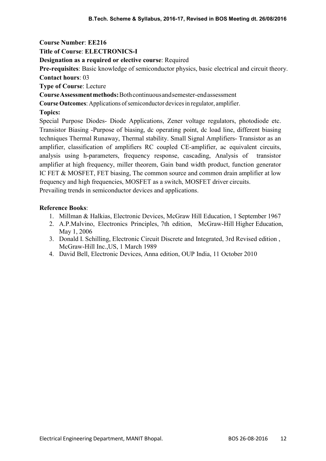Title of Course: ELECTRONICS-I

Designation as a required or elective course: Required

Pre-requisites: Basic knowledge of semiconductor physics, basic electrical and circuit theory. Contact hours: 03

Type of Course: Lecture

Course Assessment methods: Both continuous and semester-end assessment

Course Outcomes: Applications of semiconductor devices in regulator, amplifier.

Topics:

Special Purpose Diodes- Diode Applications, Zener voltage regulators, photodiode etc. Transistor Biasing -Purpose of biasing, dc operating point, dc load line, different biasing techniques Thermal Runaway, Thermal stability. Small Signal Amplifiers- Transistor as an amplifier, classification of amplifiers RC coupled CE-amplifier, ac equivalent circuits, analysis using h-parameters, frequency response, cascading, Analysis of transistor amplifier at high frequency, miller theorem, Gain band width product, function generator IC FET & MOSFET, FET biasing, The common source and common drain amplifier at low frequency and high frequencies, MOSFET as a switch, MOSFET driver circuits. Prevailing trends in semiconductor devices and applications.

- 1. Millman & Halkias, Electronic Devices, McGraw Hill Education, 1 September 1967
- 2. A.P.Malvino, Electronics Principles, 7th edition, McGraw-Hill Higher Education, May 1, 2006
- 3. Donald I. Schilling, Electronic Circuit Discrete and Integrated, 3rd Revised edition , McGraw-Hill Inc.,US, 1 March 1989
- 4. David Bell, Electronic Devices, Anna edition, OUP India, 11 October 2010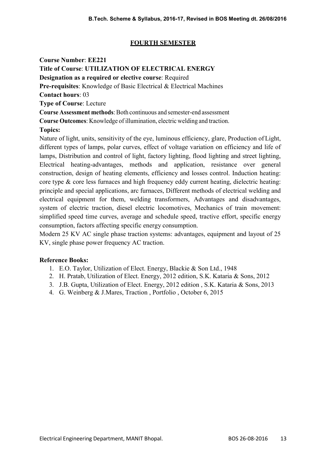# FOURTH SEMESTER

Course Number: EE221

Title of Course: UTILIZATION OF ELECTRICAL ENERGY

Designation as a required or elective course: Required

Pre-requisites: Knowledge of Basic Electrical & Electrical Machines

Contact hours: 03

Type of Course: Lecture

Course Assessment methods: Both continuous and semester-end assessment

Course Outcomes: Knowledge of illumination, electric welding and traction.

# Topics:

Nature of light, units, sensitivity of the eye, luminous efficiency, glare, Production of Light, different types of lamps, polar curves, effect of voltage variation on efficiency and life of lamps, Distribution and control of light, factory lighting, flood lighting and street lighting, Electrical heating-advantages, methods and application, resistance over general construction, design of heating elements, efficiency and losses control. Induction heating: core type & core less furnaces and high frequency eddy current heating, dielectric heating: principle and special applications, arc furnaces, Different methods of electrical welding and electrical equipment for them, welding transformers, Advantages and disadvantages, system of electric traction, diesel electric locomotives, Mechanics of train movement: simplified speed time curves, average and schedule speed, tractive effort, specific energy consumption, factors affecting specific energy consumption.

Modern 25 KV AC single phase traction systems: advantages, equipment and layout of 25 KV, single phase power frequency AC traction.

- 1. E.O. Taylor, Utilization of Elect. Energy, Blackie & Son Ltd., 1948
- 2. H. Pratab, Utilization of Elect. Energy, 2012 edition, S.K. Kataria & Sons, 2012
- 3. J.B. Gupta, Utilization of Elect. Energy, 2012 edition , S.K. Kataria & Sons, 2013
- 4. G. Weinberg & J.Mares, Traction , Portfolio , October 6, 2015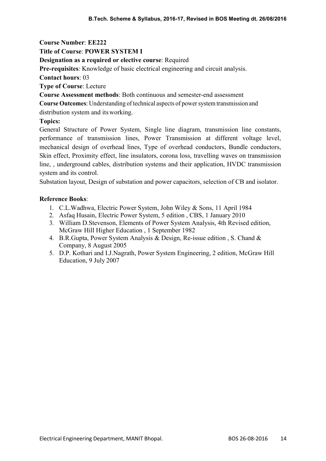## Title of Course: POWER SYSTEM I

## Designation as a required or elective course: Required

Pre-requisites: Knowledge of basic electrical engineering and circuit analysis.

Contact hours: 03

Type of Course: Lecture

Course Assessment methods: Both continuous and semester-end assessment

Course Outcomes: Understanding of technical aspects of power system transmission and distribution system and its working.

# Topics:

General Structure of Power System, Single line diagram, transmission line constants, performance of transmission lines, Power Transmission at different voltage level, mechanical design of overhead lines, Type of overhead conductors, Bundle conductors, Skin effect, Proximity effect, line insulators, corona loss, travelling waves on transmission line, , underground cables, distribution systems and their application, HVDC transmission system and its control.

Substation layout, Design of substation and power capacitors, selection of CB and isolator.

- 1. C.L.Wadhwa, Electric Power System, John Wiley & Sons, 11 April 1984
- 2. Asfaq Husain, Electric Power System, 5 edition , CBS, 1 January 2010
- 3. William D.Stevenson, Elements of Power System Analysis, 4th Revised edition, McGraw Hill Higher Education , 1 September 1982
- 4. B.R.Gupta, Power System Analysis & Design, Re-issue edition , S. Chand & Company, 8 August 2005
- 5. D.P. Kothari and I.J.Nagrath, Power System Engineering, 2 edition, McGraw Hill Education, 9 July 2007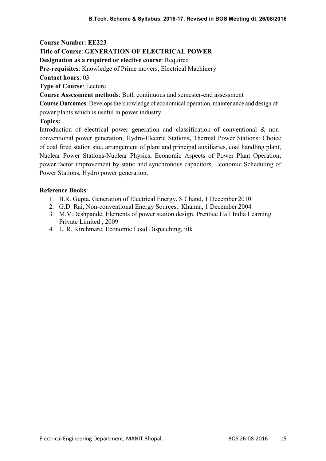## Title of Course: GENERATION OF ELECTRICAL POWER

Designation as a required or elective course: Required

Pre-requisites: Knowledge of Prime movers, Electrical Machinery

Contact hours: 03

Type of Course: Lecture

Course Assessment methods: Both continuous and semester-end assessment

Course Outcomes: Develops the knowledge of economical operation, maintenance and design of power plants which is useful in power industry.

# Topics:

Introduction of electrical power generation and classification of conventional & nonconventional power generation, Hydro-Electric Stations, Thermal Power Stations: Choice of coal fired station site, arrangement of plant and principal auxiliaries, coal handling plant, Nuclear Power Stations-Nuclear Physics, Economic Aspects of Power Plant Operation, power factor improvement by static and synchronous capacitors, Economic Scheduling of Power Stations, Hydro power generation.

- 1. B.R. Gupta, Generation of Electrical Energy, S Chand, 1 December 2010
- 2. G.D. Rai, Non-conventional Energy Sources, Khanna, 1 December 2004
- 3. M.V.Deshpande, Elements of power station design, Prentice Hall India Learning Private Limited , 2009
- 4. L. R. Kirchmare, Economic Load Dispatching, iitk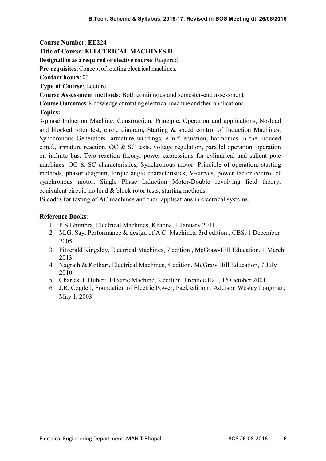### Title of Course: ELECTRICAL MACHINES II

Designation as a required or elective course: Required

Pre-requisites: Concept of rotating electrical machines.

Contact hours: 03

Type of Course: Lecture

Course Assessment methods: Both continuous and semester-end assessment

Course Outcomes: Knowledge of rotating electrical machine and their applications.

#### Topics:

3-phase Induction Machine: Construction, Principle, Operation and applications, No-load and blocked rotor test, circle diagram, Starting & speed control of Induction Machines, Synchronous Generators- armature windings, e.m.f. equation, harmonics in the induced e.m.f., armature reaction, OC & SC tests, voltage regulation, parallel operation, operation on infinite bus. Two reaction theory, power expressions for cylindrical and salient pole machines, OC & SC characteristics, Synchronous motor: Principle of operation, starting methods, phasor diagram, torque angle characteristics, V-curves, power factor control of synchronous motor, Single Phase Induction Motor-Double revolving field theory, equivalent circuit, no load & block rotor tests, starting methods.

IS codes for testing of AC machines and their applications in electrical systems.

- 1. P.S.Bhimbra, Electrical Machines, Khanna, 1 January 2011
- 2. M.G. Say, Performance & design of A.C. Machines, 3rd edition , CBS, 1 December 2005
- 3. Fitzerald Kingsley, Electrical Machines, 7 edition , McGraw-Hill Education, 1 March 2013
- 4. Nagrath & Kothari, Electrical Machines, 4 edition, McGraw Hill Education, 7 July 2010
- 5. Charles. I. Hubert, Electric Machine, 2 edition, Prentice Hall, 16 October 2001
- 6. J.R. Cogdell, Foundation of Electric Power, Pack edition , Addison Wesley Longman, May 1, 2003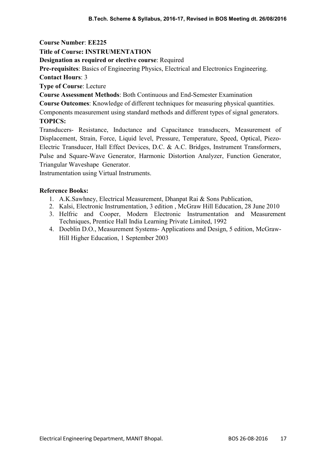### Title of Course: INSTRUMENTATION

## Designation as required or elective course: Required

Pre-requisites: Basics of Engineering Physics, Electrical and Electronics Engineering.

Contact Hours: 3

Type of Course: Lecture

Course Assessment Methods: Both Continuous and End-Semester Examination

Course Outcomes: Knowledge of different techniques for measuring physical quantities.

Components measurement using standard methods and different types of signal generators. TOPICS:

Transducers- Resistance, Inductance and Capacitance transducers, Measurement of Displacement, Strain, Force, Liquid level, Pressure, Temperature, Speed, Optical, Piezo-Electric Transducer, Hall Effect Devices, D.C. & A.C. Bridges, Instrument Transformers, Pulse and Square-Wave Generator, Harmonic Distortion Analyzer, Function Generator, Triangular Waveshape Generator.

Instrumentation using Virtual Instruments.

- 1. A.K.Sawhney, Electrical Measurement, Dhanpat Rai & Sons Publication,
- 2. Kalsi, Electronic Instrumentation, 3 edition , McGraw Hill Education, 28 June 2010
- 3. Helfric and Cooper, Modern Electronic Instrumentation and Measurement Techniques, Prentice Hall India Learning Private Limited, 1992
- 4. Doeblin D.O., Measurement Systems- Applications and Design, 5 edition, McGraw-Hill Higher Education, 1 September 2003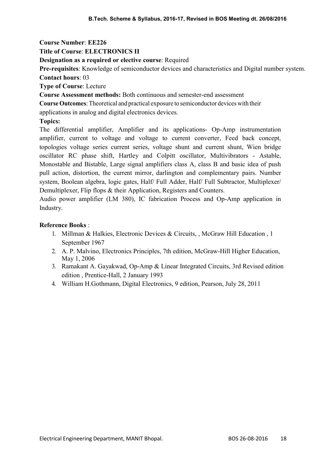## Title of Course: ELECTRONICS II

## Designation as a required or elective course: Required

Pre-requisites: Knowledge of semiconductor devices and characteristics and Digital number system. Contact hours: 03

Type of Course: Lecture

Course Assessment methods: Both continuous and semester-end assessment

Course Outcomes: Theoretical and practical exposure to semiconductor devices with their

applications in analog and digital electronics devices.

Topics:

The differential amplifier, Amplifier and its applications- Op-Amp instrumentation amplifier, current to voltage and voltage to current converter, Feed back concept, topologies voltage series current series, voltage shunt and current shunt, Wien bridge oscillator RC phase shift, Hartley and Colpitt oscillator, Multivibrators - Astable, Monostable and Bistable, Large signal amplifiers class A, class B and basic idea of push pull action, distortion, the current mirror, darlington and complementary pairs. Number system, Boolean algebra, logic gates, Half/ Full Adder, Half/ Full Subtractor, Multiplexer/ Demultiplexer, Flip flops & their Application, Registers and Counters.

Audio power amplifier (LM 380), IC fabrication Process and Op-Amp application in Industry.

- 1. Millman & Halkies, Electronic Devices & Circuits, , McGraw Hill Education , 1 September 1967
- 2. A. P. Malvino, Electronics Principles, 7th edition, McGraw-Hill Higher Education, May 1, 2006
- 3. Ramakant A. Gayakwad, Op-Amp & Linear Integrated Circuits, 3rd Revised edition edition , Prentice-Hall, 2 January 1993
- 4. William H.Gothmann, Digital Electronics, 9 edition, Pearson, July 28, 2011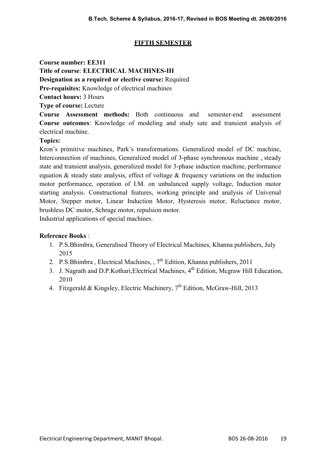# FIFTH SEMESTER

Course number: EE311 Title of course: ELECTRICAL MACHINES-III Designation as a required or elective course: Required Pre-requisites: Knowledge of electrical machines Contact hours: 3 Hours Type of course: Lecture Course Assessment methods: Both continuous and semester-end assessment

Course outcomes: Knowledge of modeling and study sate and transient analysis of electrical machine.

## Topics:

Kron's primitive machines, Park's transformations. Generalized model of DC machine, Interconnection of machines, Generalized model of 3-phase synchronous machine , steady state and transient analysis, generalized model for 3-phase induction machine, performance equation & steady state analysis, effect of voltage & frequency variations on the induction motor performance, operation of I.M. on unbalanced supply voltage, Induction motor starting analysis. Constructional features, working principle and analysis of Universal Motor, Stepper motor, Linear Induction Motor, Hysteresis motor, Reluctance motor, brushless DC motor, Schrage motor, repulsion motor. Industrial applications of special machines.

- 1. P.S.Bhimbra, Generalised Theory of Electrical Machines, Khanna publishers, July 2015
- 2. P.S.Bhimbra, Electrical Machines,  $7<sup>th</sup>$  Edition, Khanna publishers, 2011
- 3. J. Nagrath and D.P.Kothari, Electrical Machines, 4<sup>th</sup> Edition, Mcgraw Hill Education, 2010
- 4. Fitzgerald & Kingsley, Electric Machinery,  $7<sup>th</sup>$  Edition, McGraw-Hill, 2013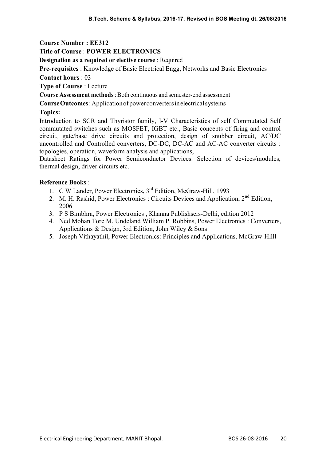#### Title of Course : POWER ELECTRONICS

Designation as a required or elective course : Required

Pre-requisites : Knowledge of Basic Electrical Engg, Networks and Basic Electronics

Contact hours : 03

Type of Course : Lecture

Course Assessment methods : Both continuous and semester-end assessment

Course Outcomes : Application of power converters in electrical systems

#### Topics:

Introduction to SCR and Thyristor family, I-V Characteristics of self Commutated Self commutated switches such as MOSFET, IGBT etc., Basic concepts of firing and control circuit, gate/base drive circuits and protection, design of snubber circuit, AC/DC uncontrolled and Controlled converters, DC-DC, DC-AC and AC-AC converter circuits : topologies, operation, waveform analysis and applications,

Datasheet Ratings for Power Semiconductor Devices. Selection of devices/modules, thermal design, driver circuits etc.

- 1. C W Lander, Power Electronics, 3<sup>rd</sup> Edition, McGraw-Hill, 1993
- 2. M. H. Rashid, Power Electronics : Circuits Devices and Application, 2<sup>nd</sup> Edition, 2006
- 3. P S Bimbhra, Power Electronics , Khanna Publishsers-Delhi, edition 2012
- 4. Ned Mohan Tore M. Undeland William P. Robbins, Power Electronics : Converters, Applications & Design, 3rd Edition, John Wiley & Sons
- 5. Joseph Vithayathil, Power Electronics: Principles and Applications, McGraw-Hilll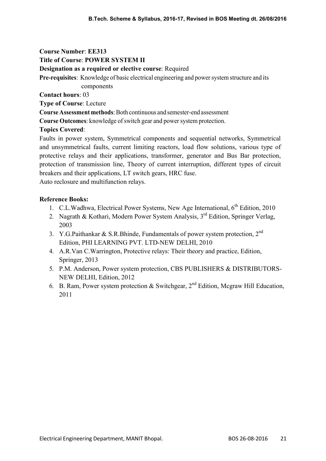Title of Course: POWER SYSTEM II

Designation as a required or elective course: Required

Pre-requisites: Knowledge of basic electrical engineering and power system structure and its

components

Contact hours: 03

Type of Course: Lecture

Course Assessment methods: Both continuous and semester-end assessment

Course Outcomes: knowledge of switch gear and power system protection.

# Topics Covered:

Faults in power system, Symmetrical components and sequential networks, Symmetrical and unsymmetrical faults, current limiting reactors, load flow solutions, various type of protective relays and their applications, transformer, generator and Bus Bar protection, protection of transmission line, Theory of current interruption, different types of circuit breakers and their applications, LT switch gears, HRC fuse.

Auto reclosure and multifunction relays.

- 1. C.L.Wadhwa, Electrical Power Systems, New Age International,  $6<sup>th</sup>$  Edition, 2010
- 2. Nagrath & Kothari, Modern Power System Analysis, 3<sup>rd</sup> Edition, Springer Verlag, 2003
- 3. Y.G.Paithankar & S.R.Bhinde, Fundamentals of power system protection,  $2^{nd}$ Edition, PHI LEARNING PVT. LTD-NEW DELHI, 2010
- 4. A.R.Van C.Warrington, Protective relays: Their theory and practice, Edition, Springer, 2013
- 5. P.M. Anderson, Power system protection, CBS PUBLISHERS & DISTRIBUTORS-NEW DELHI, Edition, 2012
- 6. B. Ram, Power system protection & Switchgear,  $2^{nd}$  Edition, Mcgraw Hill Education, 2011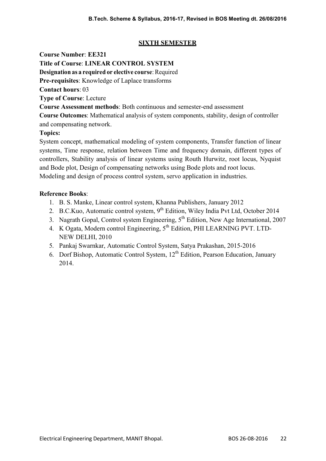# SIXTH SEMESTER

Course Number: EE321

Title of Course: LINEAR CONTROL SYSTEM

Designation as a required or elective course: Required

Pre-requisites: Knowledge of Laplace transforms

Contact hours: 03

Type of Course: Lecture

Course Assessment methods: Both continuous and semester-end assessment

Course Outcomes: Mathematical analysis of system components, stability, design of controller and compensating network.

# Topics:

System concept, mathematical modeling of system components, Transfer function of linear systems, Time response, relation between Time and frequency domain, different types of controllers, Stability analysis of linear systems using Routh Hurwitz, root locus, Nyquist and Bode plot, Design of compensating networks using Bode plots and root locus. Modeling and design of process control system, servo application in industries.

- 1. B. S. Manke, Linear control system, Khanna Publishers, January 2012
- 2. B.C.Kuo, Automatic control system, 9<sup>th</sup> Edition, Wiley India Pvt Ltd, October 2014
- 3. Nagrath Gopal, Control system Engineering, 5th Edition, New Age International, 2007
- 4. K Ogata, Modern control Engineering, 5th Edition, PHI LEARNING PVT. LTD-NEW DELHI, 2010
- 5. Pankaj Swarnkar, Automatic Control System, Satya Prakashan, 2015-2016
- 6. Dorf Bishop, Automatic Control System,  $12<sup>th</sup>$  Edition, Pearson Education, January 2014.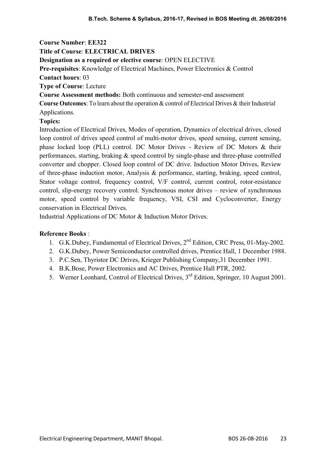Course Number: EE322 Title of Course: ELECTRICAL DRIVES Designation as a required or elective course: OPEN ELECTIVE Pre-requisites: Knowledge of Electrical Machines, Power Electronics & Control

Contact hours: 03

Type of Course: Lecture

Course Assessment methods: Both continuous and semester-end assessment

Course Outcomes: To learn about the operation & control of Electrical Drives & their Industrial Applications.

## Topics:

Introduction of Electrical Drives, Modes of operation, Dynamics of electrical drives, closed loop control of drives speed control of multi-motor drives, speed sensing, current sensing, phase locked loop (PLL) control. DC Motor Drives - Review of DC Motors & their performances, starting, braking & speed control by single-phase and three-phase controlled converter and chopper. Closed loop control of DC drive. Induction Motor Drives, Review of three-phase induction motor, Analysis & performance, starting, braking, speed control, Stator voltage control, frequency control, V/F control, current control, rotor-resistance control, slip-energy recovery control. Synchronous motor drives – review of synchronous motor, speed control by variable frequency, VSI, CSI and Cycloconverter, Energy conservation in Electrical Drives.

Industrial Applications of DC Motor & Induction Motor Drives.

- 1. G.K.Dubey, Fundamental of Electrical Drives, 2<sup>nd</sup> Edition, CRC Press, 01-May-2002.
- 2. G.K.Dubey, Power Semiconductor controlled drives, Prentice Hall, 1 December 1988.
- 3. P.C.Sen, Thyristor DC Drives, Krieger Publishing Company,31 December 1991.
- 4. B.K.Bose, Power Electronics and AC Drives, Prentice Hall PTR, 2002.
- 5. Werner Leonhard, Control of Electrical Drives,  $3<sup>rd</sup>$  Edition, Springer, 10 August 2001.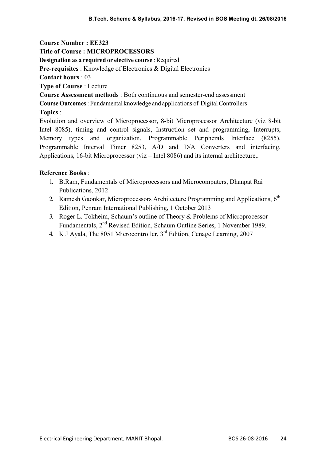Course Number : EE323 Title of Course : MICROPROCESSORS Designation as a required or elective course : Required Pre-requisites : Knowledge of Electronics & Digital Electronics Contact hours : 03 Type of Course : Lecture Course Assessment methods : Both continuous and semester-end assessment Course Outcomes : Fundamental knowledge and applications of Digital Controllers Topics : Evolution and overview of Microprocessor, 8-bit Microprocessor Architecture (viz 8-bit Intel 8085), timing and control signals, Instruction set and programming, Interrupts,

Memory types and organization, Programmable Peripherals Interface (8255), Programmable Interval Timer 8253, A/D and D/A Converters and interfacing, Applications, 16-bit Microprocessor (viz – Intel 8086) and its internal architecture,.

- 1. B.Ram, Fundamentals of Microprocessors and Microcomputers, Dhanpat Rai Publications, 2012
- 2. Ramesh Gaonkar, Microprocessors Architecture Programming and Applications,  $6<sup>th</sup>$ Edition, Penram International Publishing, 1 October 2013
- 3. Roger L. Tokheim, Schaum's outline of Theory & Problems of Microprocessor Fundamentals, 2<sup>nd</sup> Revised Edition, Schaum Outline Series, 1 November 1989.
- 4. K J Ayala, The 8051 Microcontroller, 3<sup>rd</sup> Edition, Cenage Learning, 2007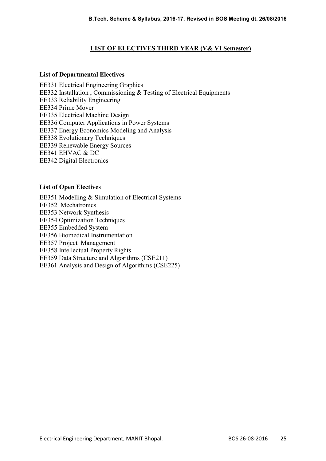## LIST OF ELECTIVES THIRD YEAR (V& VI Semester)

#### List of Departmental Electives

EE331 Electrical Engineering Graphics EE332 Installation , Commissioning & Testing of Electrical Equipments EE333 Reliability Engineering EE334 Prime Mover EE335 Electrical Machine Design EE336 Computer Applications in Power Systems EE337 Energy Economics Modeling and Analysis EE338 Evolutionary Techniques EE339 Renewable Energy Sources EE341 EHVAC & DC EE342 Digital Electronics

#### List of Open Electives

EE351 Modelling & Simulation of Electrical Systems EE352 Mechatronics EE353 Network Synthesis EE354 Optimization Techniques EE355 Embedded System EE356 Biomedical Instrumentation EE357 Project Management EE358 Intellectual Property Rights EE359 Data Structure and Algorithms (CSE211) EE361 Analysis and Design of Algorithms (CSE225)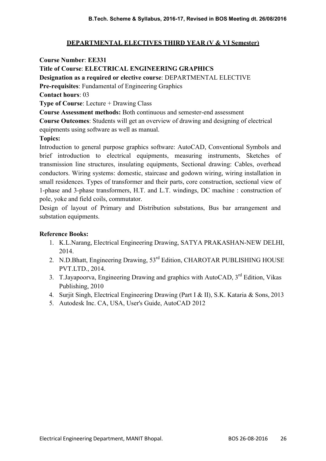## DEPARTMENTAL ELECTIVES THIRD YEAR (V & VI Semester)

Course Number: EE331 Title of Course: ELECTRICAL ENGINEERING GRAPHICS Designation as a required or elective course: DEPARTMENTAL ELECTIVE Pre-requisites: Fundamental of Engineering Graphics Contact hours: 03 Type of Course: Lecture + Drawing Class Course Assessment methods: Both continuous and semester-end assessment Course Outcomes: Students will get an overview of drawing and designing of electrical equipments using software as well as manual.

#### Topics:

Introduction to general purpose graphics software: AutoCAD, Conventional Symbols and brief introduction to electrical equipments, measuring instruments, Sketches of transmission line structures, insulating equipments, Sectional drawing: Cables, overhead conductors. Wiring systems: domestic, staircase and godown wiring, wiring installation in small residences. Types of transformer and their parts, core construction, sectional view of 1-phase and 3-phase transformers, H.T. and L.T. windings, DC machine : construction of pole, yoke and field coils, commutator.

Design of layout of Primary and Distribution substations, Bus bar arrangement and substation equipments.

- 1. K.L.Narang, Electrical Engineering Drawing, SATYA PRAKASHAN-NEW DELHI, 2014.
- 2. N.D.Bhatt, Engineering Drawing, 53<sup>rd</sup> Edition, CHAROTAR PUBLISHING HOUSE PVT.LTD., 2014.
- 3. T.Jayapoorva, Engineering Drawing and graphics with AutoCAD, 3<sup>rd</sup> Edition, Vikas Publishing, 2010
- 4. Surjit Singh, Electrical Engineering Drawing (Part I & II), S.K. Kataria & Sons, 2013
- 5. Autodesk Inc. CA, USA, User's Guide, AutoCAD 2012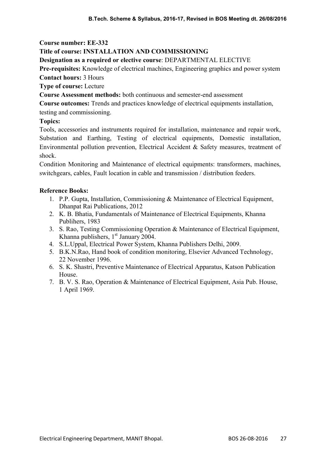## Title of course: INSTALLATION AND COMMISSIONING

Designation as a required or elective course: DEPARTMENTAL ELECTIVE

Pre-requisites: Knowledge of electrical machines, Engineering graphics and power system Contact hours: 3 Hours

Type of course: Lecture

Course Assessment methods: both continuous and semester-end assessment

Course outcomes: Trends and practices knowledge of electrical equipments installation, testing and commissioning.

#### Topics:

Tools, accessories and instruments required for installation, maintenance and repair work, Substation and Earthing, Testing of electrical equipments, Domestic installation, Environmental pollution prevention, Electrical Accident & Safety measures, treatment of shock.

Condition Monitoring and Maintenance of electrical equipments: transformers, machines, switchgears, cables, Fault location in cable and transmission / distribution feeders.

- 1. P.P. Gupta, Installation, Commissioning & Maintenance of Electrical Equipment, Dhanpat Rai Publications, 2012
- 2. K. B. Bhatia, Fundamentals of Maintenance of Electrical Equipments, Khanna Publihers, 1983
- 3. S. Rao, Testing Commissioning Operation & Maintenance of Electrical Equipment, Khanna publishers,  $1<sup>st</sup>$  January 2004.
- 4. S.L.Uppal, Electrical Power System, Khanna Publishers Delhi, 2009.
- 5. B.K.N.Rao, Hand book of condition monitoring, Elsevier Advanced Technology, 22 November 1996.
- 6. S. K. Shastri, Preventive Maintenance of Electrical Apparatus, Katson Publication House.
- 7. B. V. S. Rao, Operation & Maintenance of Electrical Equipment, Asia Pub. House, 1 April 1969.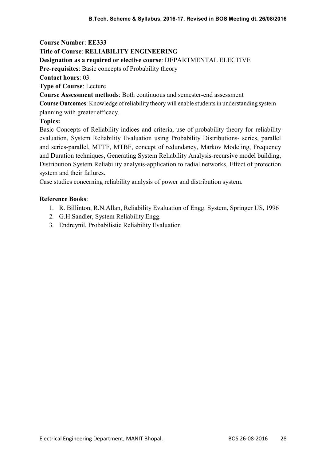Course Number: EE333 Title of Course: RELIABILITY ENGINEERING Designation as a required or elective course: DEPARTMENTAL ELECTIVE Pre-requisites: Basic concepts of Probability theory Contact hours: 03 Type of Course: Lecture Course Assessment methods: Both continuous and semester-end assessment

Course Outcomes: Knowledge of reliability theory will enable students in understanding system

planning with greater efficacy.

# Topics:

Basic Concepts of Reliability-indices and criteria, use of probability theory for reliability evaluation, System Reliability Evaluation using Probability Distributions- series, parallel and series-parallel, MTTF, MTBF, concept of redundancy, Markov Modeling, Frequency and Duration techniques, Generating System Reliability Analysis-recursive model building, Distribution System Reliability analysis-application to radial networks, Effect of protection system and their failures.

Case studies concerning reliability analysis of power and distribution system.

- 1. R. Billinton, R.N.Allan, Reliability Evaluation of Engg. System, Springer US, 1996
- 2. G.H.Sandler, System Reliability Engg.
- 3. Endreynil, Probabilistic Reliability Evaluation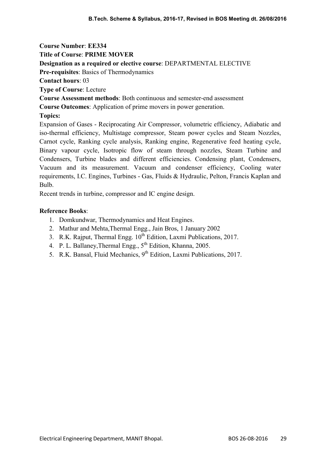Title of Course: PRIME MOVER

## Designation as a required or elective course: DEPARTMENTAL ELECTIVE

Pre-requisites: Basics of Thermodynamics

Contact hours: 03

Type of Course: Lecture

Course Assessment methods: Both continuous and semester-end assessment

Course Outcomes: Application of prime movers in power generation.

# Topics:

Expansion of Gases - Reciprocating Air Compressor, volumetric efficiency, Adiabatic and iso-thermal efficiency, Multistage compressor, Steam power cycles and Steam Nozzles, Carnot cycle, Ranking cycle analysis, Ranking engine, Regenerative feed heating cycle, Binary vapour cycle, Isotropic flow of steam through nozzles, Steam Turbine and Condensers, Turbine blades and different efficiencies. Condensing plant, Condensers, Vacuum and its measurement. Vacuum and condenser efficiency, Cooling water requirements, I.C. Engines, Turbines - Gas, Fluids & Hydraulic, Pelton, Francis Kaplan and Bulb.

Recent trends in turbine, compressor and IC engine design.

- 1. Domkundwar, Thermodynamics and Heat Engines.
- 2. Mathur and Mehta,Thermal Engg., Jain Bros, 1 January 2002
- 3. R.K. Rajput, Thermal Engg.  $10^{th}$  Edition, Laxmi Publications, 2017.
- 4. P. L. Ballaney, Thermal Engg.,  $5^{th}$  Edition, Khanna, 2005.
- 5. R.K. Bansal, Fluid Mechanics, 9<sup>th</sup> Edition, Laxmi Publications, 2017.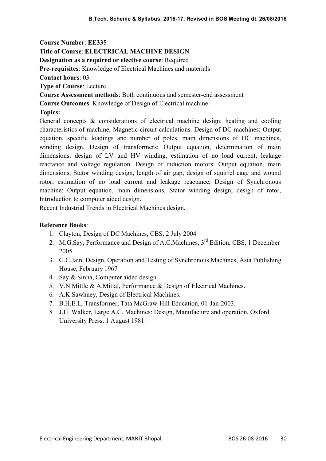Course Number: EE335 Title of Course: ELECTRICAL MACHINE DESIGN Designation as a required or elective course: Required Pre-requisites: Knowledge of Electrical Machines and materials Contact hours: 03 Type of Course: Lecture Course Assessment methods: Both continuous and semester-end assessment Course Outcomes: Knowledge of Design of Electrical machine. Topics: General concepts & considerations of electrical machine design: heating and cooling

characteristics of machine, Magnetic circuit calculations. Design of DC machines: Output equation, specific loadings and number of poles, main dimensions of DC machines, winding design, Design of transformers: Output equation, determination of main dimensions, design of LV and HV winding, estimation of no load current, leakage reactance and voltage regulation. Design of induction motors: Output equation, main dimensions, Stator winding design, length of air gap, design of squirrel cage and wound rotor, estimation of no load current and leakage reactance, Design of Synchronous machine: Output equation, main dimensions, Stator winding design, design of rotor, Introduction to computer aided design.

Recent Industrial Trends in Electrical Machines design.

- 1. Clayton, Design of DC Machines, CBS, 2 July 2004
- 2. M.G.Say, Performance and Design of A.C.Machines, 3<sup>rd</sup> Edition, CBS, 1 December 2005.
- 3. G.C.Jain, Design, Operation and Testing of Synchronous Machines, Asia Publishing House, February 1967
- 4. Say & Sinha, Computer aided design.
- 5. V.N.Mittle & A.Mittal, Performance & Design of Electrical Machines.
- 6. A.K.Sawhney, Design of Electrical Machines.
- 7. B.H.E.L, Transformer, Tata McGraw-Hill Education, 01-Jan-2003.
- 8. J.H. Walker, Large A.C. Machines: Design, Manufacture and operation, Oxford University Press, 1 August 1981.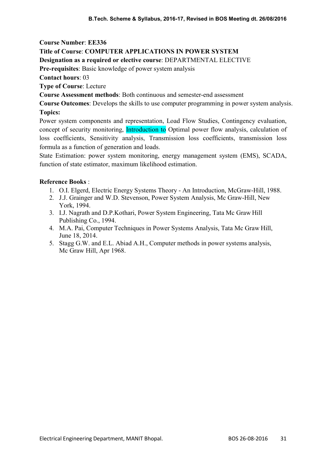## Title of Course: COMPUTER APPLICATIONS IN POWER SYSTEM

#### Designation as a required or elective course: DEPARTMENTAL ELECTIVE

Pre-requisites: Basic knowledge of power system analysis

Contact hours: 03

Type of Course: Lecture

Course Assessment methods: Both continuous and semester-end assessment

Course Outcomes: Develops the skills to use computer programming in power system analysis. Topics:

Power system components and representation, Load Flow Studies, Contingency evaluation, concept of security monitoring, Introduction to Optimal power flow analysis, calculation of loss coefficients, Sensitivity analysis, Transmission loss coefficients, transmission loss formula as a function of generation and loads.

State Estimation: power system monitoring, energy management system (EMS), SCADA, function of state estimator, maximum likelihood estimation.

- 1. O.I. Elgerd, Electric Energy Systems Theory An Introduction, McGraw-Hill, 1988.
- 2. J.J. Grainger and W.D. Stevenson, Power System Analysis, Mc Graw-Hill, New York, 1994.
- 3. I.J. Nagrath and D.P.Kothari, Power System Engineering, Tata Mc Graw Hill Publishing Co., 1994.
- 4. M.A. Pai, Computer Techniques in Power Systems Analysis, Tata Mc Graw Hill, June 18, 2014.
- 5. Stagg G.W. and E.L. Abiad A.H., Computer methods in power systems analysis, Mc Graw Hill, Apr 1968.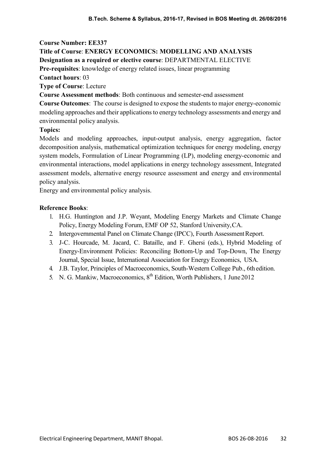# Title of Course: ENERGY ECONOMICS: MODELLING AND ANALYSIS

Designation as a required or elective course: DEPARTMENTAL ELECTIVE

Pre-requisites: knowledge of energy related issues, linear programming

Contact hours: 03

Type of Course: Lecture

Course Assessment methods: Both continuous and semester-end assessment

Course Outcomes: The course is designed to expose the students to major energy-economic modeling approaches and their applications to energy technology assessments and energy and environmental policy analysis.

## Topics:

Models and modeling approaches, input-output analysis, energy aggregation, factor decomposition analysis, mathematical optimization techniques for energy modeling, energy system models, Formulation of Linear Programming (LP), modeling energy-economic and environmental interactions, model applications in energy technology assessment, Integrated assessment models, alternative energy resource assessment and energy and environmental policy analysis.

Energy and environmental policy analysis.

- 1. H.G. Huntington and J.P. Weyant, Modeling Energy Markets and Climate Change Policy, Energy Modeling Forum, EMF OP 52, Stanford University, CA.
- 2. Intergovernmental Panel on Climate Change (IPCC), Fourth Assessment Report.
- 3. J-C. Hourcade, M. Jacard, C. Bataille, and F. Ghersi (eds.), Hybrid Modeling of Energy-Environment Policies: Reconciling Bottom-Up and Top-Down, The Energy Journal, Special Issue, International Association for Energy Economics, USA.
- 4. J.B. Taylor, Principles of Macroeconomics, South-Western College Pub., 6th edition.
- 5. N. G. Mankiw, Macroeconomics, 8<sup>th</sup> Edition, Worth Publishers, 1 June 2012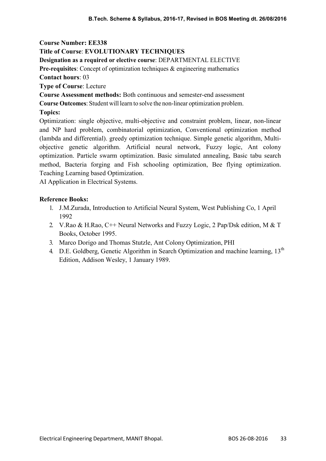# Title of Course: EVOLUTIONARY TECHNIQUES

Designation as a required or elective course: DEPARTMENTAL ELECTIVE

Pre-requisites: Concept of optimization techniques & engineering mathematics Contact hours: 03

Type of Course: Lecture

Course Assessment methods: Both continuous and semester-end assessment

Course Outcomes: Student will learn to solve the non-linear optimization problem.

# Topics:

Optimization: single objective, multi-objective and constraint problem, linear, non-linear and NP hard problem, combinatorial optimization, Conventional optimization method (lambda and differential). greedy optimization technique. Simple genetic algorithm, Multiobjective genetic algorithm. Artificial neural network, Fuzzy logic, Ant colony optimization. Particle swarm optimization. Basic simulated annealing, Basic tabu search method, Bacteria forging and Fish schooling optimization, Bee flying optimization. Teaching Learning based Optimization.

AI Application in Electrical Systems.

- 1. J.M.Zurada, Introduction to Artificial Neural System, West Publishing Co, 1 April 1992
- 2. V.Rao & H.Rao, C++ Neural Networks and Fuzzy Logic, 2 Pap/Dsk edition, M & T Books, October 1995.
- 3. Marco Dorigo and Thomas Stutzle, Ant Colony Optimization, PHI
- 4. D.E. Goldberg, Genetic Algorithm in Search Optimization and machine learning, 13<sup>th</sup> Edition, Addison Wesley, 1 January 1989.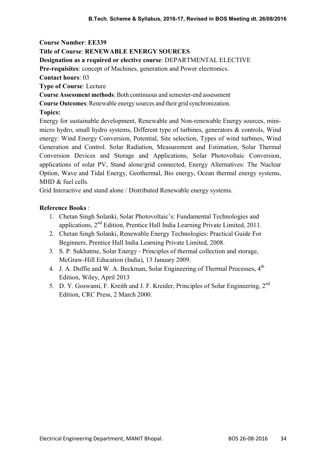### Title of Course: RENEWABLE ENERGY SOURCES

#### Designation as a required or elective course: DEPARTMENTAL ELECTIVE

Pre-requisites: concept of Machines, generation and Power electronics.

Contact hours: 03

Type of Course: Lecture

Course Assessment methods: Both continuous and semester-end assessment

Course Outcomes: Renewable energy sources and their grid synchronization.

#### Topics:

Energy for sustainable development, Renewable and Non-renewable Energy sources, minimicro hydro, small hydro systems, Different type of turbines, generators & controls, Wind energy: Wind Energy Conversion, Potential, Site selection, Types of wind turbines, Wind Generation and Control. Solar Radiation, Measurement and Estimation, Solar Thermal Conversion Devices and Storage and Applications, Solar Photovoltaic Conversion, applications of solar PV, Stand alone/grid connected, Energy Alternatives: The Nuclear Option, Wave and Tidal Energy, Geothermal, Bio energy, Ocean thermal energy systems, MHD & fuel cells.

Grid Interactive and stand alone / Distributed Renewable energy systems.

- 1. Chetan Singh Solanki, Solar Photovoltaic's: Fundamental Technologies and applications, 2nd Edition, Prentice Hall India Learning Private Limited, 2011.
- 2. Chetan Singh Solanki, Renewable Energy Technologies: Practical Guide For Beginners, Prentice Hall India Learning Private Limited, 2008.
- 3. S. P. Sukhatme, Solar Energy Principles of thermal collection and storage, McGraw-Hill Education (India), 13 January 2009.
- 4. J. A. Duffie and W. A. Beckman, Solar Engineering of Thermal Processes, 4<sup>th</sup> Edition, Wiley, April 2013
- 5. D. Y. Goswami, F. Kreith and J. F. Kreider, Principles of Solar Engineering, 2nd Edition, CRC Press, 2 March 2000.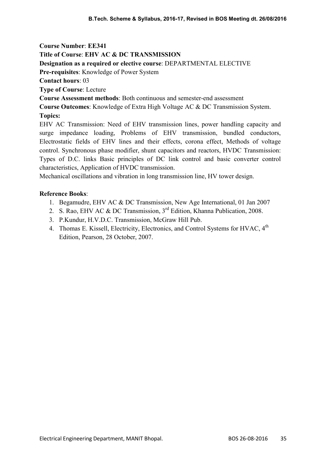Course Number: EE341 Title of Course: EHV AC & DC TRANSMISSION Designation as a required or elective course: DEPARTMENTAL ELECTIVE Pre-requisites: Knowledge of Power System Contact hours: 03 Type of Course: Lecture Course Assessment methods: Both continuous and semester-end assessment Course Outcomes: Knowledge of Extra High Voltage AC & DC Transmission System. Topics: EHV AC Transmission: Need of EHV transmission lines, power handling capacity and

surge impedance loading, Problems of EHV transmission, bundled conductors, Electrostatic fields of EHV lines and their effects, corona effect, Methods of voltage control. Synchronous phase modifier, shunt capacitors and reactors, HVDC Transmission: Types of D.C. links Basic principles of DC link control and basic converter control characteristics, Application of HVDC transmission.

Mechanical oscillations and vibration in long transmission line, HV tower design.

- 1. Begamudre, EHV AC & DC Transmission, New Age International, 01 Jan 2007
- 2. S. Rao, EHV AC & DC Transmission, 3<sup>rd</sup> Edition, Khanna Publication, 2008.
- 3. P.Kundur, H.V.D.C. Transmission, McGraw Hill Pub.
- 4. Thomas E. Kissell, Electricity, Electronics, and Control Systems for HVAC,  $4^{\text{th}}$ Edition, Pearson, 28 October, 2007.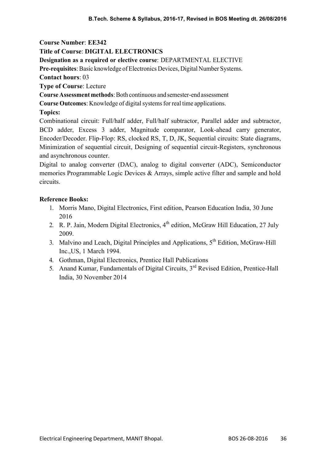# Title of Course: DIGITAL ELECTRONICS

Designation as a required or elective course: DEPARTMENTAL ELECTIVE

Pre-requisites: Basic knowledge of Electronics Devices, Digital Number Systems.

Contact hours: 03

Type of Course: Lecture

Course Assessment methods: Both continuous and semester-end assessment

Course Outcomes: Knowledge of digital systems for real time applications.

# Topics:

Combinational circuit: Full/half adder, Full/half subtractor, Parallel adder and subtractor, BCD adder, Excess 3 adder, Magnitude comparator, Look-ahead carry generator, Encoder/Decoder. Flip-Flop: RS, clocked RS, T, D, JK, Sequential circuits: State diagrams, Minimization of sequential circuit, Designing of sequential circuit-Registers, synchronous and asynchronous counter.

Digital to analog converter (DAC), analog to digital converter (ADC), Semiconductor memories Programmable Logic Devices & Arrays, simple active filter and sample and hold circuits.

- 1. Morris Mano, Digital Electronics, First edition, Pearson Education India, 30 June 2016
- 2. R. P. Jain, Modern Digital Electronics, 4<sup>th</sup> edition, McGraw Hill Education, 27 July 2009.
- 3. Malvino and Leach, Digital Principles and Applications,  $5<sup>th</sup>$  Edition, McGraw-Hill Inc.,US, 1 March 1994.
- 4. Gothman, Digital Electronics, Prentice Hall Publications
- 5. Anand Kumar, Fundamentals of Digital Circuits, 3<sup>rd</sup> Revised Edition. Prentice-Hall India, 30 November 2014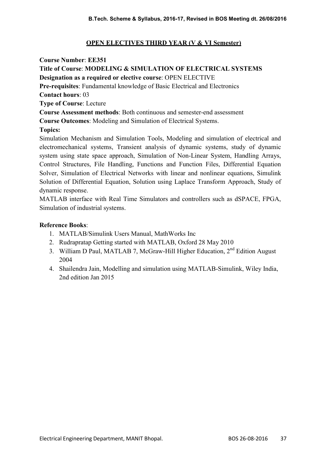## OPEN ELECTIVES THIRD YEAR (V & VI Semester)

Course Number: EE351

Title of Course: MODELING & SIMULATION OF ELECTRICAL SYSTEMS

Designation as a required or elective course: OPEN ELECTIVE

Pre-requisites: Fundamental knowledge of Basic Electrical and Electronics

Contact hours: 03

Type of Course: Lecture

Course Assessment methods: Both continuous and semester-end assessment

Course Outcomes: Modeling and Simulation of Electrical Systems.

# Topics:

Simulation Mechanism and Simulation Tools, Modeling and simulation of electrical and electromechanical systems, Transient analysis of dynamic systems, study of dynamic system using state space approach, Simulation of Non-Linear System, Handling Arrays, Control Structures, File Handling, Functions and Function Files, Differential Equation Solver, Simulation of Electrical Networks with linear and nonlinear equations, Simulink Solution of Differential Equation, Solution using Laplace Transform Approach, Study of dynamic response.

MATLAB interface with Real Time Simulators and controllers such as dSPACE, FPGA, Simulation of industrial systems.

- 1. MATLAB/Simulink Users Manual, MathWorks Inc
- 2. Rudrapratap Getting started with MATLAB, Oxford 28 May 2010
- 3. William D Paul, MATLAB 7, McGraw-Hill Higher Education,  $2<sup>nd</sup>$  Edition August 2004
- 4. Shailendra Jain, Modelling and simulation using MATLAB-Simulink, Wiley India, 2nd edition Jan 2015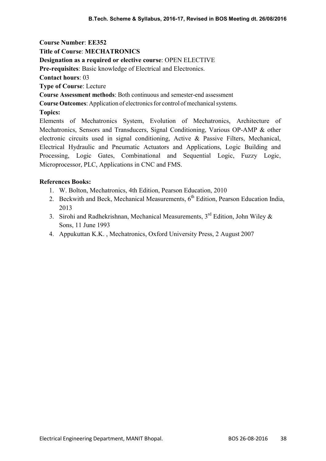Course Number: EE352 Title of Course: MECHATRONICS Designation as a required or elective course: OPEN ELECTIVE Pre-requisites: Basic knowledge of Electrical and Electronics. Contact hours: 03 Type of Course: Lecture Course Assessment methods: Both continuous and semester-end assessment Course Outcomes: Application of electronics for control of mechanical systems. Topics: Elements of Mechatronics System, Evolution of Mechatronics, Architecture of Mechatronics, Sensors and Transducers, Signal Conditioning, Various OP-AMP & other electronic circuits used in signal conditioning, Active & Passive Filters, Mechanical, Electrical Hydraulic and Pneumatic Actuators and Applications, Logic Building and Processing, Logic Gates, Combinational and Sequential Logic, Fuzzy Logic,

#### References Books:

1. W. Bolton, Mechatronics, 4th Edition, Pearson Education, 2010

Microprocessor, PLC, Applications in CNC and FMS.

- 2. Beckwith and Beck, Mechanical Measurements,  $6<sup>th</sup>$  Edition, Pearson Education India, 2013
- 3. Sirohi and Radhekrishnan, Mechanical Measurements,  $3<sup>rd</sup>$  Edition, John Wiley & Sons, 11 June 1993
- 4. Appukuttan K.K. , Mechatronics, Oxford University Press, 2 August 2007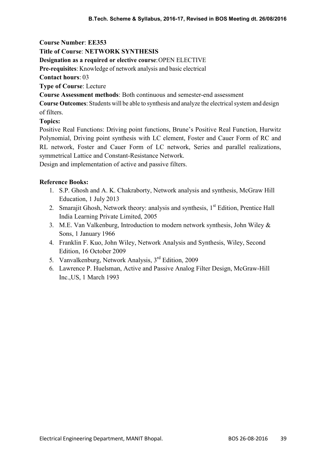### Title of Course: NETWORK SYNTHESIS

#### Designation as a required or elective course: OPEN ELECTIVE

Pre-requisites: Knowledge of network analysis and basic electrical

### Contact hours: 03

Type of Course: Lecture

Course Assessment methods: Both continuous and semester-end assessment

Course Outcomes: Students will be able to synthesis and analyze the electrical system and design of filters.

### Topics:

Positive Real Functions: Driving point functions, Brune's Positive Real Function, Hurwitz Polynomial, Driving point synthesis with LC element, Foster and Cauer Form of RC and RL network, Foster and Cauer Form of LC network, Series and parallel realizations, symmetrical Lattice and Constant-Resistance Network.

Design and implementation of active and passive filters.

- 1. S.P. Ghosh and A. K. Chakraborty, Network analysis and synthesis, McGraw Hill Education, 1 July 2013
- 2. Smarajit Ghosh, Network theory: analysis and synthesis,  $1<sup>st</sup>$  Edition, Prentice Hall India Learning Private Limited, 2005
- 3. M.E. Van Valkenburg, Introduction to modern network synthesis, John Wiley & Sons, 1 January 1966
- 4. Franklin F. Kuo, John Wiley, Network Analysis and Synthesis, Wiley, Second Edition, 16 October 2009
- 5. Vanvalkenburg, Network Analysis, 3rd Edition, 2009
- 6. Lawrence P. Huelsman, Active and Passive Analog Filter Design, McGraw-Hill Inc.,US, 1 March 1993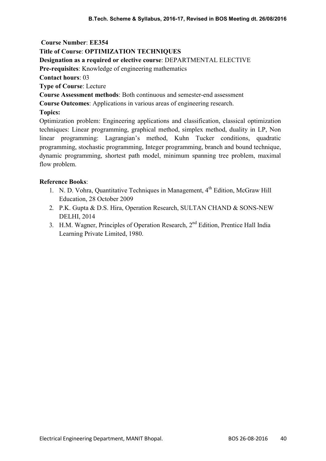### Title of Course: OPTIMIZATION TECHNIQUES

#### Designation as a required or elective course: DEPARTMENTAL ELECTIVE

Pre-requisites: Knowledge of engineering mathematics

Contact hours: 03

Type of Course: Lecture

Course Assessment methods: Both continuous and semester-end assessment

Course Outcomes: Applications in various areas of engineering research.

### Topics:

Optimization problem: Engineering applications and classification, classical optimization techniques: Linear programming, graphical method, simplex method, duality in LP, Non linear programming: Lagrangian's method, Kuhn Tucker conditions, quadratic programming, stochastic programming, Integer programming, branch and bound technique, dynamic programming, shortest path model, minimum spanning tree problem, maximal flow problem.

- 1. N. D. Vohra, Quantitative Techniques in Management,  $4<sup>th</sup>$  Edition, McGraw Hill Education, 28 October 2009
- 2. P.K. Gupta & D.S. Hira, Operation Research, SULTAN CHAND & SONS-NEW DELHI, 2014
- 3. H.M. Wagner, Principles of Operation Research, 2<sup>nd</sup> Edition, Prentice Hall India Learning Private Limited, 1980.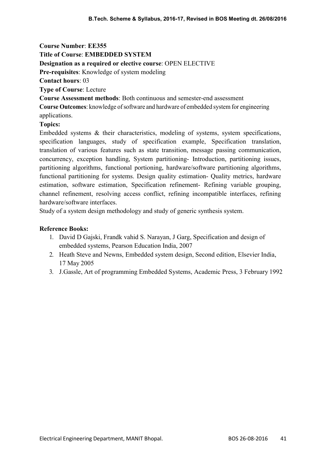Title of Course: EMBEDDED SYSTEM

## Designation as a required or elective course: OPEN ELECTIVE

Pre-requisites: Knowledge of system modeling

Contact hours: 03

Type of Course: Lecture

Course Assessment methods: Both continuous and semester-end assessment

Course Outcomes: knowledge of software and hardware of embedded system for engineering applications.

# Topics:

Embedded systems & their characteristics, modeling of systems, system specifications, specification languages, study of specification example, Specification translation, translation of various features such as state transition, message passing communication, concurrency, exception handling, System partitioning- Introduction, partitioning issues, partitioning algorithms, functional portioning, hardware/software partitioning algorithms, functional partitioning for systems. Design quality estimation- Quality metrics, hardware estimation, software estimation, Specification refinement- Refining variable grouping, channel refinement, resolving access conflict, refining incompatible interfaces, refining hardware/software interfaces.

Study of a system design methodology and study of generic synthesis system.

- 1. David D Gajski, Frandk vahid S. Narayan, J Garg, Specification and design of embedded systems, Pearson Education India, 2007
- 2. Heath Steve and Newns, Embedded system design, Second edition, Elsevier India, 17 May 2005
- 3. J.Gassle, Art of programming Embedded Systems, Academic Press, 3 February 1992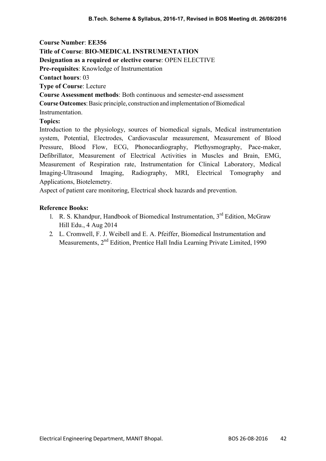Course Number: EE356 Title of Course: BIO-MEDICAL INSTRUMENTATION Designation as a required or elective course: OPEN ELECTIVE

Pre-requisites: Knowledge of Instrumentation

Contact hours: 03

Type of Course: Lecture

Course Assessment methods: Both continuous and semester-end assessment

Course Outcomes: Basic principle, construction and implementation of Biomedical

Instrumentation.

### Topics:

Introduction to the physiology, sources of biomedical signals, Medical instrumentation system, Potential, Electrodes, Cardiovascular measurement, Measurement of Blood Pressure, Blood Flow, ECG, Phonocardiography, Plethysmography, Pace-maker, Defibrillator, Measurement of Electrical Activities in Muscles and Brain, EMG, Measurement of Respiration rate, Instrumentation for Clinical Laboratory, Medical Imaging-Ultrasound Imaging, Radiography, MRI, Electrical Tomography and Applications, Biotelemetry.

Aspect of patient care monitoring, Electrical shock hazards and prevention.

- 1. R. S. Khandpur, Handbook of Biomedical Instrumentation, 3<sup>rd</sup> Edition, McGraw Hill Edu., 4 Aug 2014
- 2. L. Cromwell, F. J. Weibell and E. A. Pfeiffer, Biomedical Instrumentation and Measurements, 2nd Edition, Prentice Hall India Learning Private Limited, 1990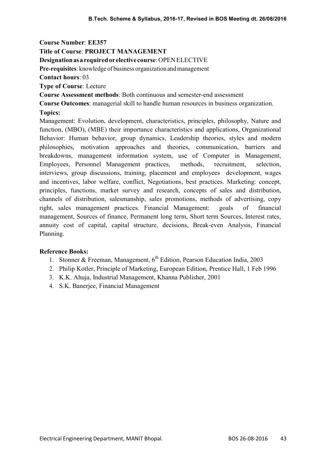Title of Course: PROJECT MANAGEMENT

Designation as a required or elective course: OPEN ELECTIVE

Pre-requisites: knowledge of business organization and management

Contact hours: 03

Type of Course: Lecture

Course Assessment methods: Both continuous and semester-end assessment

Course Outcomes: managerial skill to handle human resources in business organization. Topics:

Management: Evolution, development, characteristics, principles, philosophy, Nature and function, (MBO), (MBE) their importance characteristics and applications, Organizational Behavior: Human behavior, group dynamics, Leadership theories, styles and modern philosophies, motivation approaches and theories, communication, barriers and breakdowns, management information system, use of Computer in Management, Employees, Personnel Management practices, methods, recruitment, selection, interviews, group discussions, training, placement and employees development, wages and incentives, labor welfare, conflict, Negotiations, best practices. Marketing: concept, principles, functions, market survey and research, concepts of sales and distribution, channels of distribution, salesmanship, sales promotions, methods of advertising, copy right, sales management practices. Financial Management: goals of financial management, Sources of finance, Permanent long term, Short term Sources, Interest rates, annuity cost of capital, capital structure, decisions, Break-even Analysis, Financial Planning.

- 1. Stonner & Freeman, Management,  $6<sup>th</sup>$  Edition, Pearson Education India, 2003
- 2. Philip Kotler, Principle of Marketing, European Edition, Prentice Hall, 1 Feb 1996
- 3. K.K. Ahuja, Industrial Management, Khanna Publisher, 2001
- 4. S.K. Banerjee, Financial Management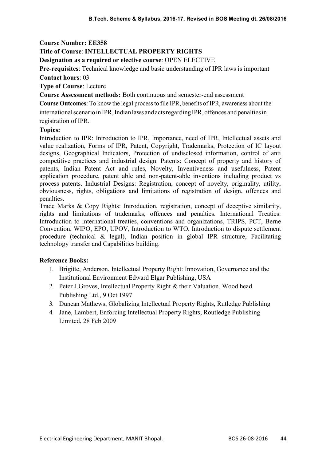# Title of Course: INTELLECTUAL PROPERTY RIGHTS

Designation as a required or elective course: OPEN ELECTIVE

Pre-requisites: Technical knowledge and basic understanding of IPR laws is important Contact hours: 03

Type of Course: Lecture

Course Assessment methods: Both continuous and semester-end assessment

Course Outcomes: To know the legal process to file IPR, benefits of IPR, awareness about the international scenario in IPR, Indian laws and acts regarding IPR, offences and penalties in registration of IPR.

#### Topics:

Introduction to IPR: Introduction to IPR, Importance, need of IPR, Intellectual assets and value realization, Forms of IPR, Patent, Copyright, Trademarks, Protection of IC layout designs, Geographical Indicators, Protection of undisclosed information, control of anti competitive practices and industrial design. Patents: Concept of property and history of patents, Indian Patent Act and rules, Novelty, Inventiveness and usefulness, Patent application procedure, patent able and non-patent-able inventions including product vs process patents. Industrial Designs: Registration, concept of novelty, originality, utility, obviousness, rights, obligations and limitations of registration of design, offences and penalties.

Trade Marks & Copy Rights: Introduction, registration, concept of deceptive similarity, rights and limitations of trademarks, offences and penalties. International Treaties: Introduction to international treaties, conventions and organizations, TRIPS, PCT, Berne Convention, WIPO, EPO, UPOV, Introduction to WTO, Introduction to dispute settlement procedure (technical & legal), Indian position in global IPR structure, Facilitating technology transfer and Capabilities building.

- 1. Brigitte, Anderson, Intellectual Property Right: Innovation, Governance and the Institutional Environment Edward Elgar Publishing, USA
- 2. Peter J.Groves, Intellectual Property Right & their Valuation, Wood head Publishing Ltd., 9 Oct 1997
- 3. Duncan Mathews, Globalizing Intellectual Property Rights, Rutledge Publishing
- 4. Jane, Lambert, Enforcing Intellectual Property Rights, Routledge Publishing Limited, 28 Feb 2009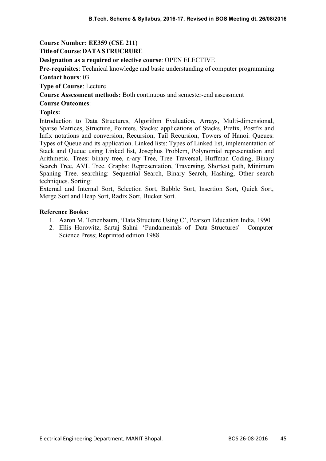# Course Number: EE359 (CSE 211)

## Title of Course: DATA STRUCRURE

## Designation as a required or elective course: OPEN ELECTIVE

Pre-requisites: Technical knowledge and basic understanding of computer programming Contact hours: 03

Type of Course: Lecture

Course Assessment methods: Both continuous and semester-end assessment

### Course Outcomes:

## Topics:

Introduction to Data Structures, Algorithm Evaluation, Arrays, Multi-dimensional, Sparse Matrices, Structure, Pointers. Stacks: applications of Stacks, Prefix, Postfix and Infix notations and conversion, Recursion, Tail Recursion, Towers of Hanoi. Queues: Types of Queue and its application. Linked lists: Types of Linked list, implementation of Stack and Queue using Linked list, Josephus Problem, Polynomial representation and Arithmetic. Trees: binary tree, n-ary Tree, Tree Traversal, Huffman Coding, Binary Search Tree, AVL Tree. Graphs: Representation, Traversing, Shortest path, Minimum Spaning Tree. searching: Sequential Search, Binary Search, Hashing, Other search techniques. Sorting:

External and Internal Sort, Selection Sort, Bubble Sort, Insertion Sort, Quick Sort, Merge Sort and Heap Sort, Radix Sort, Bucket Sort.

- 1. Aaron M. Tenenbaum, 'Data Structure Using C', Pearson Education India, 1990
- 2. Ellis Horowitz, Sartaj Sahni 'Fundamentals of Data Structures' Computer Science Press; Reprinted edition 1988.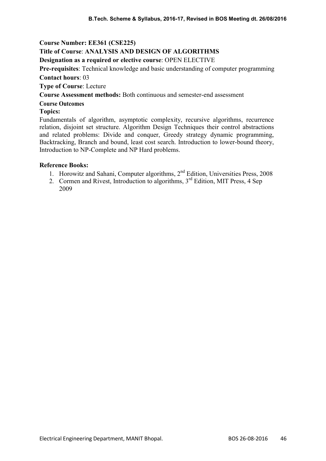## Course Number: EE361 (CSE225)

## Title of Course: ANALYSIS AND DESIGN OF ALGORITHMS

### Designation as a required or elective course: OPEN ELECTIVE

Pre-requisites: Technical knowledge and basic understanding of computer programming Contact hours: 03

Type of Course: Lecture

Course Assessment methods: Both continuous and semester-end assessment

## Course Outcomes

## Topics:

Fundamentals of algorithm, asymptotic complexity, recursive algorithms, recurrence relation, disjoint set structure. Algorithm Design Techniques their control abstractions and related problems: Divide and conquer, Greedy strategy dynamic programming, Backtracking, Branch and bound, least cost search. Introduction to lower-bound theory, Introduction to NP-Complete and NP Hard problems.

- 1. Horowitz and Sahani, Computer algorithms, 2<sup>nd</sup> Edition, Universities Press, 2008
- 2. Cormen and Rivest, Introduction to algorithms, 3<sup>rd</sup> Edition, MIT Press, 4 Sep 2009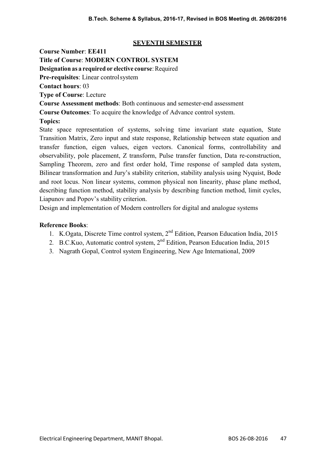## SEVENTH SEMESTER

Course Number: EE411 Title of Course: MODERN CONTROL SYSTEM

Designation as a required or elective course: Required

Pre-requisites: Linear control system

Contact hours: 03

Type of Course: Lecture

Course Assessment methods: Both continuous and semester-end assessment

Course Outcomes: To acquire the knowledge of Advance control system.

# Topics:

State space representation of systems, solving time invariant state equation, State Transition Matrix, Zero input and state response, Relationship between state equation and transfer function, eigen values, eigen vectors. Canonical forms, controllability and observability, pole placement, Z transform, Pulse transfer function, Data re-construction, Sampling Theorem, zero and first order hold, Time response of sampled data system, Bilinear transformation and Jury's stability criterion, stability analysis using Nyquist, Bode and root locus. Non linear systems, common physical non linearity, phase plane method, describing function method, stability analysis by describing function method, limit cycles, Liapunov and Popov's stability criterion.

Design and implementation of Modern controllers for digital and analogue systems

- 1. K.Ogata, Discrete Time control system, 2nd Edition, Pearson Education India, 2015
- 2. B.C.Kuo, Automatic control system, 2<sup>nd</sup> Edition, Pearson Education India, 2015
- 3. Nagrath Gopal, Control system Engineering, New Age International, 2009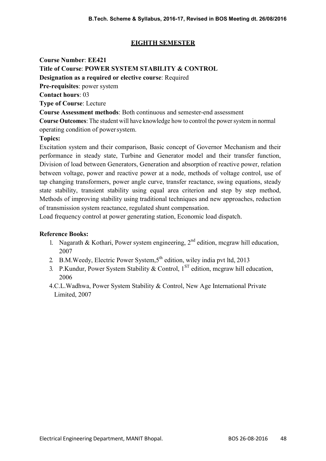# EIGHTH SEMESTER

Course Number: EE421

Title of Course: POWER SYSTEM STABILITY & CONTROL

Designation as a required or elective course: Required

Pre-requisites: power system

Contact hours: 03

Type of Course: Lecture

Course Assessment methods: Both continuous and semester-end assessment

Course Outcomes: The student will have knowledge how to control the power system in normal operating condition of power system.

# Topics:

Excitation system and their comparison, Basic concept of Governor Mechanism and their performance in steady state, Turbine and Generator model and their transfer function, Division of load between Generators, Generation and absorption of reactive power, relation between voltage, power and reactive power at a node, methods of voltage control, use of tap changing transformers, power angle curve, transfer reactance, swing equations, steady state stability, transient stability using equal area criterion and step by step method, Methods of improving stability using traditional techniques and new approaches, reduction of transmission system reactance, regulated shunt compensation.

Load frequency control at power generating station, Economic load dispatch.

- 1. Nagarath & Kothari, Power system engineering,  $2<sup>nd</sup>$  edition, mcgraw hill education, 2007
- 2. B.M. Weedy, Electric Power System, 5<sup>th</sup> edition, wiley india pvt ltd, 2013
- 3. P.Kundur, Power System Stability & Control,  $1<sup>ST</sup>$  edition, mcgraw hill education, 2006
- 4.C.L.Wadhwa, Power System Stability & Control, New Age International Private Limited, 2007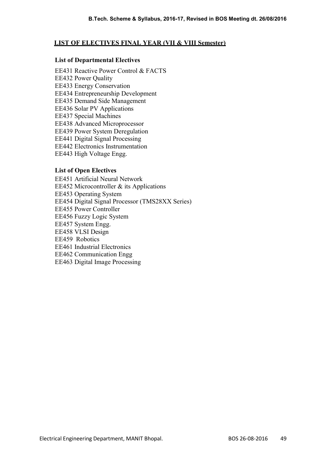## LIST OF ELECTIVES FINAL YEAR (VII & VIII Semester)

### List of Departmental Electives

EE431 Reactive Power Control & FACTS EE432 Power Quality EE433 Energy Conservation EE434 Entrepreneurship Development EE435 Demand Side Management EE436 Solar PV Applications EE437 Special Machines EE438 Advanced Microprocessor EE439 Power System Deregulation EE441 Digital Signal Processing EE442 Electronics Instrumentation EE443 High Voltage Engg.

## List of Open Electives

EE451 Artificial Neural Network EE452 Microcontroller & its Applications EE453 Operating System EE454 Digital Signal Processor (TMS28XX Series) EE455 Power Controller EE456 Fuzzy Logic System EE457 System Engg. EE458 VLSI Design EE459 Robotics EE461 Industrial Electronics EE462 Communication Engg EE463 Digital Image Processing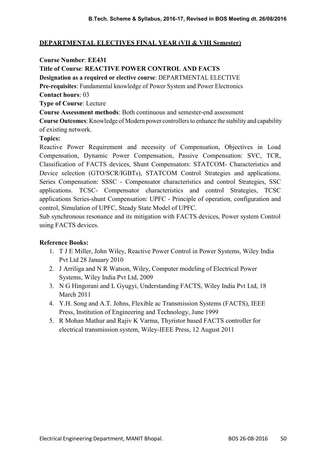## DEPARTMENTAL ELECTIVES FINAL YEAR (VII & VIII Semester)

### Course Number: EE431

## Title of Course: REACTIVE POWER CONTROL AND FACTS

Designation as a required or elective course: DEPARTMENTAL ELECTIVE

Pre-requisites: Fundamental knowledge of Power System and Power Electronics

Contact hours: 03

Type of Course: Lecture

Course Assessment methods: Both continuous and semester-end assessment

Course Outcomes: Knowledge of Modern power controllers to enhance the stability and capability of existing network.

## Topics:

Reactive Power Requirement and necessity of Compensation, Objectives in Load Compensation, Dynamic Power Compensation, Passive Compensation: SVC, TCR, Classification of FACTS devices, Shunt Compensators: STATCOM- Characteristics and Device selection (GTO/SCR/IGBTs), STATCOM Control Strategies and applications. Series Compensation: SSSC - Compensator characteristics and control Strategies, SSC applications. TCSC- Compensator characteristics and control Strategies, TCSC applications Series-shunt Compensation: UPFC - Principle of operation, configuration and control, Simulation of UPFC, Steady State Model of UPFC.

Sub synchronous resonance and its mitigation with FACTS devices, Power system Control using FACTS devices.

- 1. T J E Miller, John Wiley, Reactive Power Control in Power Systems, Wiley India Pvt Ltd 28 January 2010
- 2. J Arriliga and N R Watson, Wiley, Computer modeling of Electrical Power Systems, Wiley India Pvt Ltd, 2009
- 3. N G Hingorani and L Gyugyi, Understanding FACTS, Wiley India Pvt Ltd, 18 March 2011
- 4. Y.H. Song and A.T. Johns, Flexible ac Transmission Systems (FACTS), IEEE Press, Institution of Engineering and Technology, June 1999
- 5. R Mohan Mathur and Rajiv K Varma, Thyristor based FACTS controller for electrical transmission system, Wiley-IEEE Press, 12 August 2011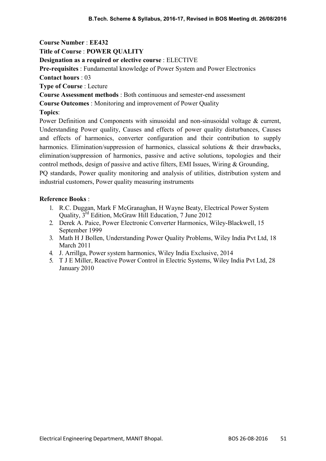Title of Course : POWER QUALITY

Designation as a required or elective course : ELECTIVE

Pre-requisites : Fundamental knowledge of Power System and Power Electronics

Contact hours : 03

Type of Course : Lecture

Course Assessment methods : Both continuous and semester-end assessment

Course Outcomes : Monitoring and improvement of Power Quality

## Topics:

Power Definition and Components with sinusoidal and non-sinusoidal voltage & current, Understanding Power quality, Causes and effects of power quality disturbances, Causes and effects of harmonics, converter configuration and their contribution to supply harmonics. Elimination/suppression of harmonics, classical solutions & their drawbacks, elimination/suppression of harmonics, passive and active solutions, topologies and their control methods, design of passive and active filters, EMI Issues, Wiring & Grounding, PQ standards, Power quality monitoring and analysis of utilities, distribution system and industrial customers, Power quality measuring instruments

- 1. R.C. Duggan, Mark F McGranaghan, H Wayne Beaty, Electrical Power System Quality, 3rd Edition, McGraw Hill Education, 7 June 2012
- 2. Derek A. Paice, Power Electronic Converter Harmonics, Wiley-Blackwell, 15 September 1999
- 3. Math H J Bollen, Understanding Power Quality Problems, Wiley India Pvt Ltd, 18 March 2011
- 4. J. Arrillga, Power system harmonics, Wiley India Exclusive, 2014
- 5. T J E Miller, Reactive Power Control in Electric Systems, Wiley India Pvt Ltd, 28 January 2010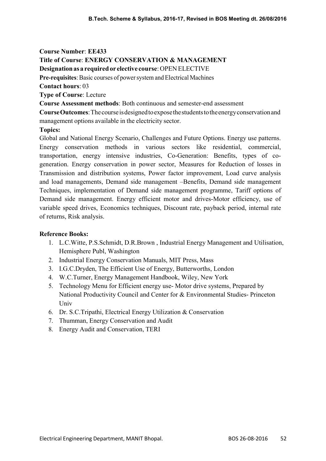Course Number: EE433 Title of Course: ENERGY CONSERVATION & MANAGEMENT Designation as a required or elective course: OPEN ELECTIVE Pre-requisites: Basic courses of power system and Electrical Machines

Contact hours: 03

Type of Course: Lecture

Course Assessment methods: Both continuous and semester-end assessment

Course Outcomes: The course is designed to expose the students to the energy conservation and management options available in the electricity sector.

## Topics:

Global and National Energy Scenario, Challenges and Future Options. Energy use patterns. Energy conservation methods in various sectors like residential, commercial, transportation, energy intensive industries, Co-Generation: Benefits, types of cogeneration. Energy conservation in power sector, Measures for Reduction of losses in Transmission and distribution systems, Power factor improvement, Load curve analysis and load managements, Demand side management –Benefits, Demand side management Techniques, implementation of Demand side management programme, Tariff options of Demand side management. Energy efficient motor and drives-Motor efficiency, use of variable speed drives, Economics techniques, Discount rate, payback period, internal rate of returns, Risk analysis.

- 1. L.C.Witte, P.S.Schmidt, D.R.Brown , Industrial Energy Management and Utilisation, Hemisphere Publ, Washington
- 2. Industrial Energy Conservation Manuals, MIT Press, Mass
- 3. I.G.C.Dryden, The Efficient Use of Energy, Butterworths, London
- 4. W.C.Turner, Energy Management Handbook, Wiley, New York
- 5. Technology Menu for Efficient energy use- Motor drive systems, Prepared by National Productivity Council and Center for & Environmental Studies- Princeton **Univ**
- 6. Dr. S.C.Tripathi, Electrical Energy Utilization & Conservation
- 7. Thumman, Energy Conservation and Audit
- 8. Energy Audit and Conservation, TERI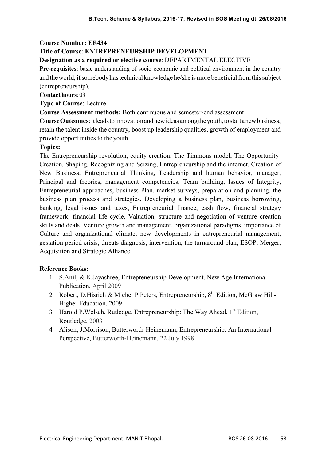# Title of Course: ENTREPRENEURSHIP DEVELOPMENT

### Designation as a required or elective course: DEPARTMENTAL ELECTIVE

Pre-requisites: basic understanding of socio-economic and political environment in the country and the world, if somebody has technical knowledge he/she is more beneficial from this subject (entrepreneurship).

Contact hours: 03

Type of Course: Lecture

#### Course Assessment methods: Both continuous and semester-end assessment

Course Outcomes: it leads to innovation and new ideas among the youth, to start a new business, retain the talent inside the country, boost up leadership qualities, growth of employment and provide opportunities to the youth.

### Topics:

The Entrepreneurship revolution, equity creation, The Timmons model, The Opportunity-Creation, Shaping, Recognizing and Seizing, Entrepreneurship and the internet, Creation of New Business, Entrepreneurial Thinking, Leadership and human behavior, manager, Principal and theories, management competencies, Team building, Issues of Integrity, Entrepreneurial approaches, business Plan, market surveys, preparation and planning, the business plan process and strategies, Developing a business plan, business borrowing, banking, legal issues and taxes, Entrepreneurial finance, cash flow, financial strategy framework, financial life cycle, Valuation, structure and negotiation of venture creation skills and deals. Venture growth and management, organizational paradigms, importance of Culture and organizational climate, new developments in entrepreneurial management, gestation period crisis, threats diagnosis, intervention, the turnaround plan, ESOP, Merger, Acquisition and Strategic Alliance.

- 1. S.Anil, & K.Jayashree, Entrepreneurship Development, New Age International Publication, April 2009
- 2. Robert, D.Hisrich & Michel P.Peters, Entrepreneurship, 8<sup>th</sup> Edition, McGraw Hill-Higher Education, 2009
- 3. Harold P. Welsch, Rutledge, Entrepreneurship: The Way Ahead, 1<sup>st</sup> Edition, Routledge, 2003
- 4. Alison, J.Morrison, Butterworth-Heinemann, Entrepreneurship: An International Perspective, Butterworth-Heinemann, 22 July 1998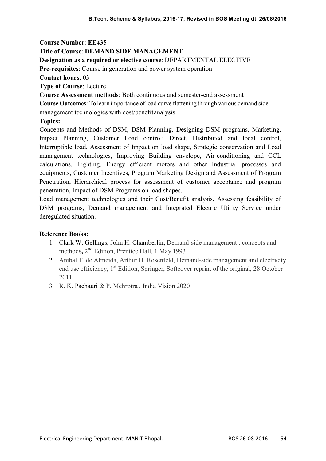#### Title of Course: DEMAND SIDE MANAGEMENT

#### Designation as a required or elective course: DEPARTMENTAL ELECTIVE

Pre-requisites: Course in generation and power system operation

Contact hours: 03

Type of Course: Lecture

Course Assessment methods: Both continuous and semester-end assessment

Course Outcomes: To learn importance of load curve flattening through various demand side management technologies with cost/benefit analysis.

Topics:

Concepts and Methods of DSM, DSM Planning, Designing DSM programs, Marketing, Impact Planning, Customer Load control: Direct, Distributed and local control, Interruptible load, Assessment of Impact on load shape, Strategic conservation and Load management technologies, Improving Building envelope, Air-conditioning and CCL calculations, Lighting, Energy efficient motors and other Industrial processes and equipments, Customer Incentives, Program Marketing Design and Assessment of Program Penetration, Hierarchical process for assessment of customer acceptance and program penetration, Impact of DSM Programs on load shapes.

Load management technologies and their Cost/Benefit analysis, Assessing feasibility of DSM programs, Demand management and Integrated Electric Utility Service under deregulated situation.

- 1. Clark W. Gellings, John H. Chamberlin, Demand-side management : concepts and methods, 2<sup>nd</sup> Edition, Prentice Hall, 1 May 1993
- 2. Aníbal T. de Almeida, Arthur H. Rosenfeld, Demand-side management and electricity end use efficiency,  $1<sup>st</sup>$  Edition, Springer, Softcover reprint of the original, 28 October 2011
- 3. R. K. Pachauri & P. Mehrotra , India Vision 2020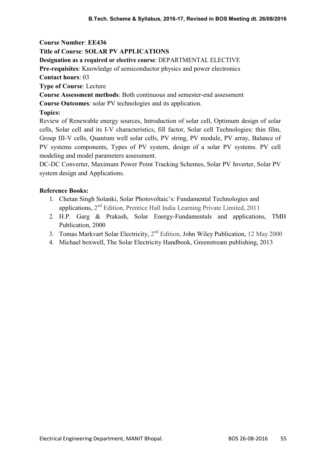# Title of Course: SOLAR PV APPLICATIONS

Designation as a required or elective course: DEPARTMENTAL ELECTIVE

Pre-requisites: Knowledge of semiconductor physics and power electronics

Contact hours: 03

Type of Course: Lecture

Course Assessment methods: Both continuous and semester-end assessment

Course Outcomes: solar PV technologies and its application.

# Topics:

Review of Renewable energy sources, Introduction of solar cell, Optimum design of solar cells, Solar cell and its I-V characteristics, fill factor, Solar cell Technologies: thin film, Group III-V cells, Quantum well solar cells, PV string, PV module, PV array, Balance of PV systems components, Types of PV system, design of a solar PV systems. PV cell modeling and model parameters assessment.

DC-DC Converter, Maximum Power Point Tracking Schemes, Solar PV Inverter, Solar PV system design and Applications.

- 1. Chetan Singh Solanki, Solar Photovoltaic's: Fundamental Technologies and applications,  $2<sup>nd</sup>$  Edition, Prentice Hall India Learning Private Limited, 2011
- 2. H.P. Garg & Prakash, Solar Energy-Fundamentals and applications, TMH Publication, 2000
- 3. Tomas Markvart Solar Electricity,  $2<sup>nd</sup>$  Edition, John Wiley Publication, 12 May 2000
- 4. Michael boxwell, The Solar Electricity Handbook, Greenstream publishing, 2013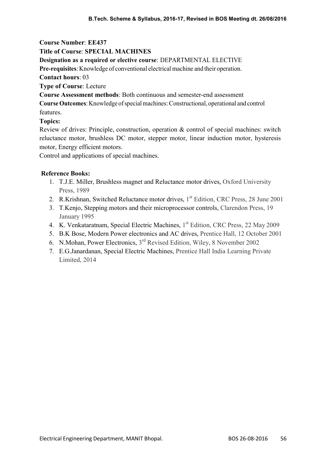### Title of Course: SPECIAL MACHINES

Designation as a required or elective course: DEPARTMENTAL ELECTIVE

Pre-requisites: Knowledge of conventional electrical machine and their operation.

Contact hours: 03

Type of Course: Lecture

Course Assessment methods: Both continuous and semester-end assessment

Course Outcomes: Knowledge of special machines: Constructional, operational and control features.

## Topics:

Review of drives: Principle, construction, operation & control of special machines: switch reluctance motor, brushless DC motor, stepper motor, linear induction motor, hysteresis motor, Energy efficient motors.

Control and applications of special machines.

- 1. T.J.E. Miller, Brushless magnet and Reluctance motor drives, Oxford University Press, 1989
- 2. R.Krishnan, Switched Reluctance motor drives, 1<sup>st</sup> Edition, CRC Press, 28 June 2001
- 3. T.Kenjo, Stepping motors and their microprocessor controls, Clarendon Press, 19 January 1995
- 4. K. Venkataratnam, Special Electric Machines, 1<sup>st</sup> Edition, CRC Press, 22 May 2009
- 5. B.K Bose, Modern Power electronics and AC drives, Prentice Hall, 12 October 2001
- 6. N.Mohan, Power Electronics, 3<sup>rd</sup> Revised Edition, Wiley, 8 November 2002
- 7. E.G.Janardanan, Special Electric Machines, Prentice Hall India Learning Private Limited, 2014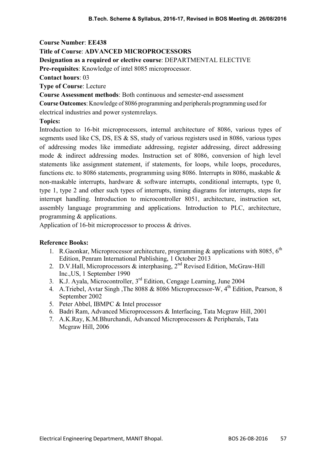### Title of Course: ADVANCED MICROPROCESSORS

#### Designation as a required or elective course: DEPARTMENTAL ELECTIVE

Pre-requisites: Knowledge of intel 8085 microprocessor.

Contact hours: 03

Type of Course: Lecture

Course Assessment methods: Both continuous and semester-end assessment

Course Outcomes: Knowledge of 8086 programming and peripherals programming used for electrical industries and power system relays.

### Topics:

Introduction to 16-bit microprocessors, internal architecture of 8086, various types of segments used like CS, DS, ES & SS, study of various registers used in 8086, various types of addressing modes like immediate addressing, register addressing, direct addressing mode & indirect addressing modes. Instruction set of 8086, conversion of high level statements like assignment statement, if statements, for loops, while loops, procedures, functions etc. to 8086 statements, programming using 8086. Interrupts in 8086, maskable & non-maskable interrupts, hardware & software interrupts, conditional interrupts, type 0, type 1, type 2 and other such types of interrupts, timing diagrams for interrupts, steps for interrupt handling. Introduction to microcontroller 8051, architecture, instruction set, assembly language programming and applications. Introduction to PLC, architecture, programming & applications.

Application of 16-bit microprocessor to process & drives.

- 1. R.Gaonkar, Microprocessor architecture, programming & applications with 8085,  $6<sup>th</sup>$ Edition, Penram International Publishing, 1 October 2013
- 2. D.V.Hall, Microprocessors & interphasing, 2<sup>nd</sup> Revised Edition, McGraw-Hill Inc.,US, 1 September 1990
- 3. K.J. Ayala, Microcontroller, 3rd Edition, Cengage Learning, June 2004
- 4. A.Triebel, Avtar Singh, The 8088 & 8086 Microprocessor-W, 4<sup>th</sup> Edition, Pearson, 8 September 2002
- 5. Peter Abbel, IBMPC & Intel processor
- 6. Badri Ram, Advanced Microprocessors & Interfacing, Tata Mcgraw Hill, 2001
- 7. A.K.Ray, K.M.Bhurchandi, Advanced Microprocessors & Peripherals, Tata Mcgraw Hill, 2006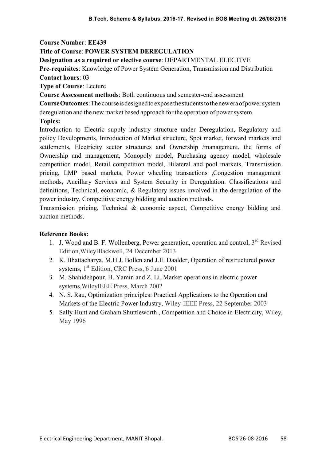#### Title of Course: POWER SYSTEM DEREGULATION

#### Designation as a required or elective course: DEPARTMENTAL ELECTIVE

Pre-requisites: Knowledge of Power System Generation, Transmission and Distribution Contact hours: 03

Type of Course: Lecture

Course Assessment methods: Both continuous and semester-end assessment

Course Outcomes: The course is designed to expose the students to the new era of power system deregulation and the new market based approach for the operation of power system.

Topics:

Introduction to Electric supply industry structure under Deregulation, Regulatory and policy Developments, Introduction of Market structure, Spot market, forward markets and settlements, Electricity sector structures and Ownership /management, the forms of Ownership and management, Monopoly model, Purchasing agency model, wholesale competition model, Retail competition model, Bilateral and pool markets, Transmission pricing, LMP based markets, Power wheeling transactions ,Congestion management methods, Ancillary Services and System Security in Deregulation. Classifications and definitions, Technical, economic, & Regulatory issues involved in the deregulation of the power industry, Competitive energy bidding and auction methods.

Transmission pricing, Technical & economic aspect, Competitive energy bidding and auction methods.

- 1. J. Wood and B. F. Wollenberg, Power generation, operation and control,  $3<sup>rd</sup>$  Revised Edition,WileyBlackwell, 24 December 2013
- 2. K. Bhattacharya, M.H.J. Bollen and J.E. Daalder, Operation of restructured power systems, 1<sup>st</sup> Edition, CRC Press, 6 June 2001
- 3. M. Shahidehpour, H. Yamin and Z. Li, Market operations in electric power systems,WileyIEEE Press, March 2002
- 4. N. S. Rau, Optimization principles: Practical Applications to the Operation and Markets of the Electric Power Industry, Wiley-IEEE Press, 22 September 2003
- 5. Sally Hunt and Graham Shuttleworth , Competition and Choice in Electricity, Wiley, May 1996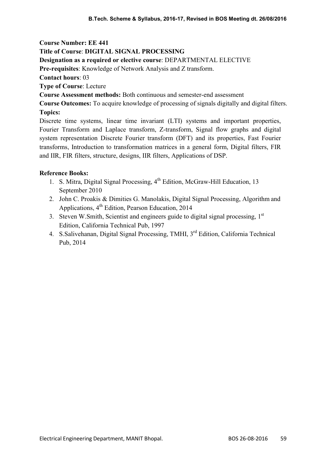## Title of Course: DIGITAL SIGNAL PROCESSING

#### Designation as a required or elective course: DEPARTMENTAL ELECTIVE

Pre-requisites: Knowledge of Network Analysis and Z transform.

Contact hours: 03

Type of Course: Lecture

Course Assessment methods: Both continuous and semester-end assessment

Course Outcomes: To acquire knowledge of processing of signals digitally and digital filters. Topics:

Discrete time systems, linear time invariant (LTI) systems and important properties, Fourier Transform and Laplace transform, Z-transform, Signal flow graphs and digital system representation Discrete Fourier transform (DFT) and its properties, Fast Fourier transforms, Introduction to transformation matrices in a general form, Digital filters, FIR and IIR, FIR filters, structure, designs, IIR filters, Applications of DSP.

- 1. S. Mitra, Digital Signal Processing, 4<sup>th</sup> Edition, McGraw-Hill Education, 13 September 2010
- 2. John C. Proakis & Dimities G. Manolakis, Digital Signal Processing, Algorithm and Applications,  $4<sup>th</sup>$  Edition, Pearson Education, 2014
- 3. Steven W.Smith, Scientist and engineers guide to digital signal processing, 1<sup>st</sup> Edition, California Technical Pub, 1997
- 4. S.Salivehanan, Digital Signal Processing, TMHI, 3<sup>rd</sup> Edition, California Technical Pub, 2014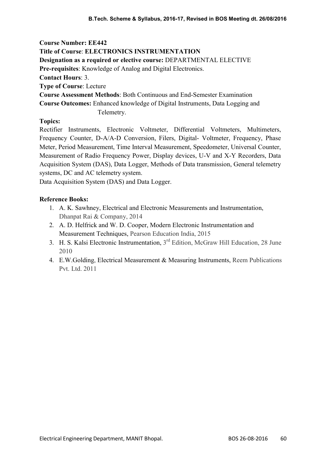Course Number: EE442 Title of Course: ELECTRONICS INSTRUMENTATION Designation as a required or elective course: DEPARTMENTAL ELECTIVE Pre-requisites: Knowledge of Analog and Digital Electronics. Contact Hours: 3. Type of Course: Lecture Course Assessment Methods: Both Continuous and End-Semester Examination Course Outcomes: Enhanced knowledge of Digital Instruments, Data Logging and Telemetry.

## Topics:

Rectifier Instruments, Electronic Voltmeter, Differential Voltmeters, Multimeters, Frequency Counter, D-A/A-D Conversion, Filers, Digital- Voltmeter, Frequency, Phase Meter, Period Measurement, Time Interval Measurement, Speedometer, Universal Counter, Measurement of Radio Frequency Power, Display devices, U-V and X-Y Recorders, Data Acquisition System (DAS), Data Logger, Methods of Data transmission, General telemetry systems, DC and AC telemetry system.

Data Acquisition System (DAS) and Data Logger.

- 1. A. K. Sawhney, Electrical and Electronic Measurements and Instrumentation, Dhanpat Rai & Company, 2014
- 2. A. D. Helfrick and W. D. Cooper, Modern Electronic Instrumentation and Measurement Techniques, Pearson Education India, 2015
- 3. H. S. Kalsi Electronic Instrumentation, 3<sup>rd</sup> Edition, McGraw Hill Education, 28 June 2010
- 4. E.W.Golding, Electrical Measurement & Measuring Instruments, Reem Publications Pvt. Ltd. 2011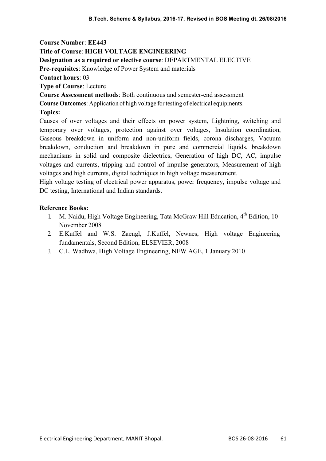## Title of Course: HIGH VOLTAGE ENGINEERING

#### Designation as a required or elective course: DEPARTMENTAL ELECTIVE

Pre-requisites: Knowledge of Power System and materials

Contact hours: 03

Type of Course: Lecture

Course Assessment methods: Both continuous and semester-end assessment

Course Outcomes: Application of high voltage for testing of electrical equipments.

Topics:

Causes of over voltages and their effects on power system, Lightning, switching and temporary over voltages, protection against over voltages, Insulation coordination, Gaseous breakdown in uniform and non-uniform fields, corona discharges, Vacuum breakdown, conduction and breakdown in pure and commercial liquids, breakdown mechanisms in solid and composite dielectrics, Generation of high DC, AC, impulse voltages and currents, tripping and control of impulse generators, Measurement of high voltages and high currents, digital techniques in high voltage measurement.

High voltage testing of electrical power apparatus, power frequency, impulse voltage and DC testing, International and Indian standards.

- 1. M. Naidu, High Voltage Engineering, Tata McGraw Hill Education,  $4<sup>th</sup>$  Edition, 10 November 2008
- 2. E.Kuffel and W.S. Zaengl, J.Kuffel, Newnes, High voltage Engineering fundamentals, Second Edition, ELSEVIER, 2008
- 3. C.L. Wadhwa, High Voltage Engineering, NEW AGE, 1 January 2010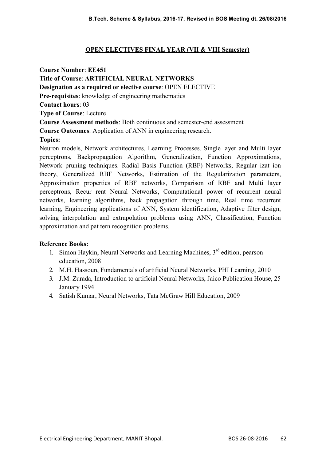## OPEN ELECTIVES FINAL YEAR (VII & VIII Semester)

Course Number: EE451 Title of Course: ARTIFICIAL NEURAL NETWORKS Designation as a required or elective course: OPEN ELECTIVE Pre-requisites: knowledge of engineering mathematics Contact hours: 03 Type of Course: Lecture Course Assessment methods: Both continuous and semester-end assessment Course Outcomes: Application of ANN in engineering research. Topics: Neuron models, Network architectures, Learning Processes. Single layer and Multi layer perceptrons, Backpropagation Algorithm, Generalization, Function Approximations,

Network pruning techniques. Radial Basis Function (RBF) Networks, Regular izat ion theory, Generalized RBF Networks, Estimation of the Regularization parameters, Approximation properties of RBF networks, Comparison of RBF and Multi layer perceptrons, Recur rent Neural Networks, Computational power of recurrent neural networks, learning algorithms, back propagation through time, Real time recurrent learning, Engineering applications of ANN, System identification, Adaptive filter design, solving interpolation and extrapolation problems using ANN, Classification, Function approximation and pat tern recognition problems.

- 1. Simon Haykin, Neural Networks and Learning Machines,  $3<sup>rd</sup>$  edition, pearson education, 2008
- 2. M.H. Hassoun, Fundamentals of artificial Neural Networks, PHI Learning, 2010
- 3. J.M. Zurada, Introduction to artificial Neural Networks, Jaico Publication House, 25 January 1994
- 4. Satish Kumar, Neural Networks, Tata McGraw Hill Education, 2009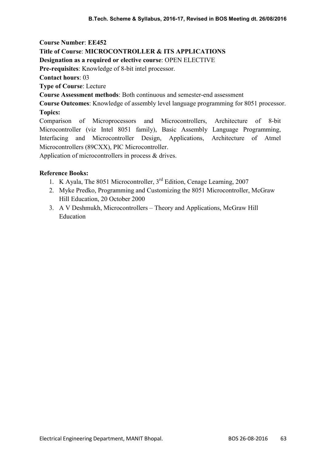# Title of Course: MICROCONTROLLER & ITS APPLICATIONS

Designation as a required or elective course: OPEN ELECTIVE

Pre-requisites: Knowledge of 8-bit intel processor.

Contact hours: 03

Type of Course: Lecture

Course Assessment methods: Both continuous and semester-end assessment

Course Outcomes: Knowledge of assembly level language programming for 8051 processor. Topics:

Comparison of Microprocessors and Microcontrollers, Architecture of 8-bit Microcontroller (viz Intel 8051 family), Basic Assembly Language Programming, Interfacing and Microcontroller Design, Applications, Architecture of Atmel Microcontrollers (89CXX), PIC Microcontroller.

Application of microcontrollers in process & drives.

- 1. K Ayala, The 8051 Microcontroller, 3<sup>rd</sup> Edition, Cenage Learning, 2007
- 2. Myke Predko, Programming and Customizing the 8051 Microcontroller, McGraw Hill Education, 20 October 2000
- 3. A V Deshmukh, Microcontrollers Theory and Applications, McGraw Hill Education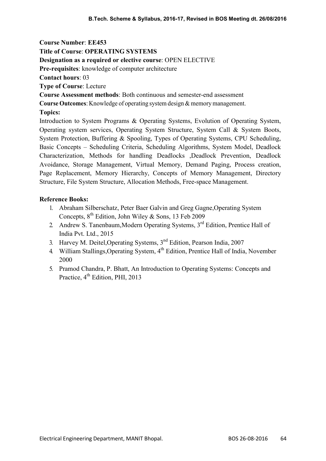Course Number: EE453 Title of Course: OPERATING SYSTEMS Designation as a required or elective course: OPEN ELECTIVE Pre-requisites: knowledge of computer architecture Contact hours: 03 Type of Course: Lecture Course Assessment methods: Both continuous and semester-end assessment Course Outcomes: Knowledge of operating system design & memory management. Topics: Introduction to System Programs & Operating Systems, Evolution of Operating System, Operating system services, Operating System Structure, System Call & System Boots, System Protection, Buffering & Spooling, Types of Operating Systems, CPU Scheduling, Basic Concepts – Scheduling Criteria, Scheduling Algorithms, System Model, Deadlock Characterization, Methods for handling Deadlocks ,Deadlock Prevention, Deadlock Avoidance, Storage Management, Virtual Memory, Demand Paging, Process creation, Page Replacement, Memory Hierarchy, Concepts of Memory Management, Directory Structure, File System Structure, Allocation Methods, Free-space Management.

- 1. Abraham Silberschatz, Peter Baer Galvin and Greg Gagne,Operating System Concepts,  $8^{th}$  Edition, John Wiley & Sons, 13 Feb 2009
- 2. Andrew S. Tanenbaum, Modern Operating Systems, 3<sup>rd</sup> Edition, Prentice Hall of India Pvt. Ltd., 2015
- 3. Harvey M. Deitel, Operating Systems, 3<sup>nd</sup> Edition, Pearson India, 2007
- 4. William Stallings, Operating System, 4<sup>th</sup> Edition, Prentice Hall of India, November 2000
- 5. Pramod Chandra, P. Bhatt, An Introduction to Operating Systems: Concepts and Practice, 4<sup>th</sup> Edition, PHI, 2013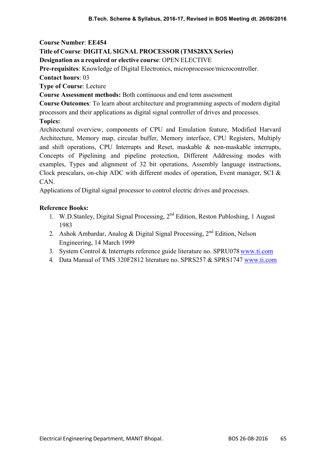# Title of Course: DIGITAL SIGNAL PROCESSOR (TMS28XX Series)

Designation as a required or elective course: OPEN ELECTIVE

Pre-requisites: Knowledge of Digital Electronics, microprocessor/microcontroller.

Contact hours: 03

Type of Course: Lecture

Course Assessment methods: Both continuous and end term assessment

Course Outcomes: To learn about architecture and programming aspects of modern digital processors and their applications as digital signal controller of drives and processes.

Topics:

Architectural overview, components of CPU and Emulation feature, Modified Harvard Architecture, Memory map, circular buffer, Memory interface, CPU Registers, Multiply and shift operations, CPU Interrupts and Reset, maskable & non-maskable interrupts, Concepts of Pipelining and pipeline protection, Different Addressing modes with examples, Types and alignment of 32 bit operations, Assembly language instructions, Clock prescalars, on-chip ADC with different modes of operation, Event manager, SCI & CAN.

Applications of Digital signal processor to control electric drives and processes.

- 1. W.D.Stanley, Digital Signal Processing, 2<sup>nd</sup> Edition, Reston Publoshing, 1 August 1983
- 2. Ashok Ambardar, Analog & Digital Signal Processing,  $2<sup>nd</sup>$  Edition, Nelson Engineering, 14 March 1999
- 3. System Control & Interrupts reference guide literature no. SPRU078 www.ti.com
- 4. Data Manual of TMS 320F2812 literature no. SPRS257 & SPRS1747 www.ti.com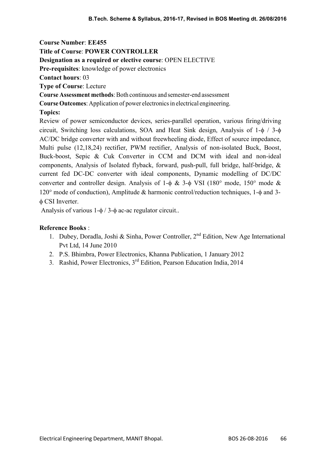Course Number: EE455 Title of Course: POWER CONTROLLER Designation as a required or elective course: OPEN ELECTIVE Pre-requisites: knowledge of power electronics Contact hours: 03 Type of Course: Lecture Course Assessment methods: Both continuous and semester-end assessment Course Outcomes: Application of power electronics in electrical engineering. Topics: Review of power semiconductor devices, series-parallel operation, various firing/driving circuit, Switching loss calculations, SOA and Heat Sink design, Analysis of  $1-\phi$  /  $3-\phi$ AC/DC bridge converter with and without freewheeling diode, Effect of source impedance,

Multi pulse (12,18,24) rectifier, PWM rectifier, Analysis of non-isolated Buck, Boost, Buck-boost, Sepic & Cuk Converter in CCM and DCM with ideal and non-ideal components, Analysis of Isolated flyback, forward, push-pull, full bridge, half-bridge, & current fed DC-DC converter with ideal components, Dynamic modelling of DC/DC converter and controller design. Analysis of 1- $\phi$  & 3- $\phi$  VSI (180° mode, 150° mode &  $120^{\circ}$  mode of conduction), Amplitude & harmonic control/reduction techniques, 1- $\phi$  and 3-CSI Inverter.

Analysis of various  $1-\phi/3-\phi$  ac-ac regulator circuit..

- 1. Dubey, Doradla, Joshi & Sinha, Power Controller,  $2<sup>nd</sup>$  Edition, New Age International Pvt Ltd, 14 June 2010
- 2. P.S. Bhimbra, Power Electronics, Khanna Publication, 1 January 2012
- 3. Rashid, Power Electronics, 3rd Edition, Pearson Education India, 2014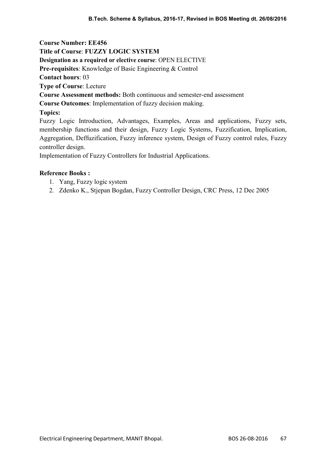Course Number: EE456 Title of Course: FUZZY LOGIC SYSTEM Designation as a required or elective course: OPEN ELECTIVE Pre-requisites: Knowledge of Basic Engineering & Control Contact hours: 03 Type of Course: Lecture Course Assessment methods: Both continuous and semester-end assessment Course Outcomes: Implementation of fuzzy decision making. Topics: Fuzzy Logic Introduction, Advantages, Examples, Areas and applications, Fuzzy sets, membership functions and their design, Fuzzy Logic Systems, Fuzzification, Implication, Aggregation, Deffuzification, Fuzzy inference system, Design of Fuzzy control rules, Fuzzy

controller design.

Implementation of Fuzzy Controllers for Industrial Applications.

- 1. Yang, Fuzzy logic system
- 2. Zdenko K., Stjepan Bogdan, Fuzzy Controller Design, CRC Press, 12 Dec 2005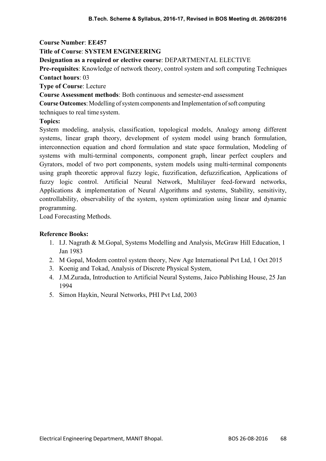### Title of Course: SYSTEM ENGINEERING

Designation as a required or elective course: DEPARTMENTAL ELECTIVE

Pre-requisites: Knowledge of network theory, control system and soft computing Techniques Contact hours: 03

Type of Course: Lecture

Course Assessment methods: Both continuous and semester-end assessment

Course Outcomes: Modelling of system components and Implementation of soft computing

techniques to real time system.

### Topics:

System modeling, analysis, classification, topological models, Analogy among different systems, linear graph theory, development of system model using branch formulation, interconnection equation and chord formulation and state space formulation, Modeling of systems with multi-terminal components, component graph, linear perfect couplers and Gyrators, model of two port components, system models using multi-terminal components using graph theoretic approval fuzzy logic, fuzzification, defuzzification, Applications of fuzzy logic control. Artificial Neural Network, Multilayer feed-forward networks, Applications & implementation of Neural Algorithms and systems, Stability, sensitivity, controllability, observability of the system, system optimization using linear and dynamic programming.

Load Forecasting Methods.

- 1. I.J. Nagrath & M.Gopal, Systems Modelling and Analysis, McGraw Hill Education, 1 Jan 1983
- 2. M Gopal, Modern control system theory, New Age International Pvt Ltd, 1 Oct 2015
- 3. Koenig and Tokad, Analysis of Discrete Physical System,
- 4. J.M.Zurada, Introduction to Artificial Neural Systems, Jaico Publishing House, 25 Jan 1994
- 5. Simon Haykin, Neural Networks, PHI Pvt Ltd, 2003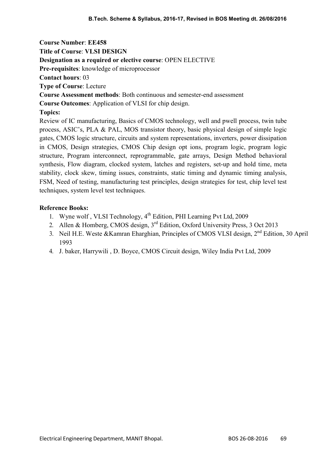Course Number: EE458 Title of Course: VLSI DESIGN Designation as a required or elective course: OPEN ELECTIVE Pre-requisites: knowledge of microprocessor Contact hours: 03 Type of Course: Lecture Course Assessment methods: Both continuous and semester-end assessment Course Outcomes: Application of VLSI for chip design. Topics: Review of IC manufacturing, Basics of CMOS technology, well and pwell process, twin tube process, ASIC's, PLA & PAL, MOS transistor theory, basic physical design of simple logic gates, CMOS logic structure, circuits and system representations, inverters, power dissipation in CMOS, Design strategies, CMOS Chip design opt ions, program logic, program logic

structure, Program interconnect, reprogrammable, gate arrays, Design Method behavioral synthesis, Flow diagram, clocked system, latches and registers, set-up and hold time, meta stability, clock skew, timing issues, constraints, static timing and dynamic timing analysis, FSM, Need of testing, manufacturing test principles, design strategies for test, chip level test techniques, system level test techniques.

- 1. Wyne wolf, VLSI Technology, 4<sup>th</sup> Edition, PHI Learning Pvt Ltd, 2009
- 2. Allen & Homberg, CMOS design, 3<sup>rd</sup> Edition, Oxford University Press, 3 Oct 2013
- 3. Neil H.E. Weste & Kamran Eharghian, Principles of CMOS VLSI design, 2<sup>nd</sup> Edition, 30 April 1993
- 4. J. baker, Harrywili , D. Boyce, CMOS Circuit design, Wiley India Pvt Ltd, 2009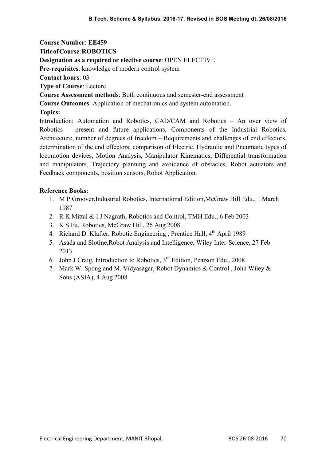Course Number: EE459 Title of Course: ROBOTICS Designation as a required or elective course: OPEN ELECTIVE Pre-requisites: knowledge of modern control system Contact hours: 03 Type of Course: Lecture Course Assessment methods: Both continuous and semester-end assessment Course Outcomes: Application of mechatronics and system automation. Topics: Introduction: Automation and Robotics, CAD/CAM and Robotics – An over view of Robotics – present and future applications, Components of the Industrial Robotics, Architecture, number of degrees of freedom – Requirements and challenges of end effectors, determination of the end effectors, comparison of Electric, Hydraulic and Pneumatic types of locomotion devices, Motion Analysis, Manipulator Kinematics, Differential transformation

#### Reference Books:

1. M P Groover,Industrial Robotics, International Edition,McGraw Hill Edu., 1 March 1987

and manipulators, Trajectory planning and avoidance of obstacles, Robot actuators and

- 2. R K Mittal & I J Nagrath, Robotics and Control, TMH Edu., 6 Feb 2003
- 3. K S Fu, Robotics, McGraw Hill, 26 Aug 2008

Feedback components, position sensors, Robot Application.

- 4. Richard D. Klafter, Robotic Engineering, Prentice Hall, 4<sup>th</sup> April 1989
- 5. Asada and Slotine,Robot Analysis and Intelligence, Wiley Inter-Science, 27 Feb 2013
- 6. John J Craig, Introduction to Robotics,  $3<sup>rd</sup>$  Edition, Pearson Edu., 2008
- 7. Mark W. Spong and M. Vidyasagar, Robot Dynamics & Control , John Wiley & Sons (ASIA), 4 Aug 2008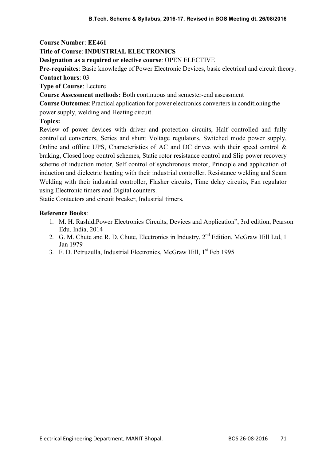### Title of Course: INDUSTRIAL ELECTRONICS

Designation as a required or elective course: OPEN ELECTIVE

Pre-requisites: Basic knowledge of Power Electronic Devices, basic electrical and circuit theory. Contact hours: 03

Type of Course: Lecture

Course Assessment methods: Both continuous and semester-end assessment

Course Outcomes: Practical application for power electronics converters in conditioning the power supply, welding and Heating circuit.

#### Topics:

Review of power devices with driver and protection circuits, Half controlled and fully controlled converters, Series and shunt Voltage regulators, Switched mode power supply, Online and offline UPS, Characteristics of AC and DC drives with their speed control  $\&$ braking, Closed loop control schemes, Static rotor resistance control and Slip power recovery scheme of induction motor, Self control of synchronous motor, Principle and application of induction and dielectric heating with their industrial controller. Resistance welding and Seam Welding with their industrial controller, Flasher circuits, Time delay circuits, Fan regulator using Electronic timers and Digital counters.

Static Contactors and circuit breaker, Industrial timers.

- 1. M. H. Rashid,Power Electronics Circuits, Devices and Application", 3rd edition, Pearson Edu. India, 2014
- 2. G. M. Chute and R. D. Chute, Electronics in Industry, 2<sup>nd</sup> Edition, McGraw Hill Ltd, 1 Jan 1979
- 3. F. D. Petruzulla, Industrial Electronics, McGraw Hill, 1<sup>st</sup> Feb 1995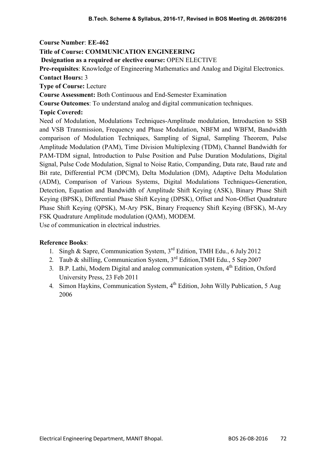# Title of Course: COMMUNICATION ENGINEERING

Designation as a required or elective course: OPEN ELECTIVE

Pre-requisites: Knowledge of Engineering Mathematics and Analog and Digital Electronics. Contact Hours: 3

Type of Course: Lecture

Course Assessment: Both Continuous and End-Semester Examination

Course Outcomes: To understand analog and digital communication techniques.

## Topic Covered:

Need of Modulation, Modulations Techniques-Amplitude modulation, Introduction to SSB and VSB Transmission, Frequency and Phase Modulation, NBFM and WBFM, Bandwidth comparison of Modulation Techniques, Sampling of Signal, Sampling Theorem, Pulse Amplitude Modulation (PAM), Time Division Multiplexing (TDM), Channel Bandwidth for PAM-TDM signal, Introduction to Pulse Position and Pulse Duration Modulations, Digital Signal, Pulse Code Modulation, Signal to Noise Ratio, Companding, Data rate, Baud rate and Bit rate, Differential PCM (DPCM), Delta Modulation (DM), Adaptive Delta Modulation (ADM), Comparison of Various Systems, Digital Modulations Techniques-Generation, Detection, Equation and Bandwidth of Amplitude Shift Keying (ASK), Binary Phase Shift Keying (BPSK), Differential Phase Shift Keying (DPSK), Offset and Non-Offset Quadrature Phase Shift Keying (QPSK), M-Ary PSK, Binary Frequency Shift Keying (BFSK), M-Ary FSK Quadrature Amplitude modulation (QAM), MODEM.

Use of communication in electrical industries.

- 1. Singh & Sapre, Communication System,  $3<sup>rd</sup>$  Edition, TMH Edu., 6 July 2012
- 2. Taub & shilling, Communication System,  $3<sup>rd</sup>$  Edition, TMH Edu., 5 Sep 2007
- 3. B.P. Lathi, Modern Digital and analog communication system,  $4<sup>th</sup>$  Edition, Oxford University Press, 23 Feb 2011
- 4. Simon Haykins, Communication System, 4<sup>th</sup> Edition, John Willy Publication, 5 Aug 2006